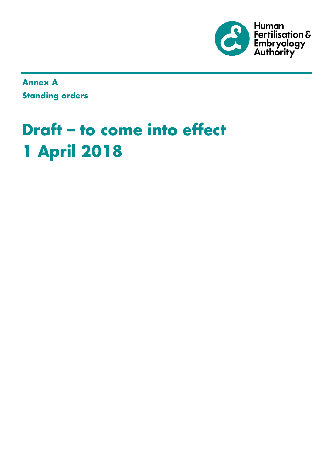

**Annex A Standing orders**

# **Draft – to come into effect 1 April 2018**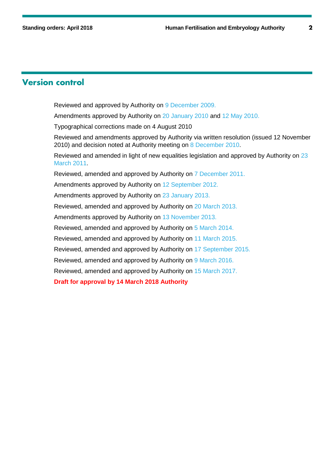### **Version control**

Reviewed and approved by Authority on [9 December 2009.](http://www.hfea.gov.uk/5646.html)

Amendments approved by Authority on [20 January 2010](http://www.hfea.gov.uk/5721.html) and [12 May 2010.](http://www.hfea.gov.uk/5892.html)

Typographical corrections made on 4 August 2010

Reviewed and amendments approved by Authority via written resolution (issued 12 November 2010) and decision noted at Authority meeting on [8 December 2010.](http://www.hfea.gov.uk/6193.html)

Reviewed and amended in light of new equalities legislation and approved by Authority on [23](http://www.hfea.gov.uk/6391.html)  [March 2011.](http://www.hfea.gov.uk/6391.html)

Reviewed, amended and approved by Authority on 7 December 2011.

Amendments approved by Authority on 12 September 2012.

Amendments approved by Authority on 23 January 2013.

Reviewed, amended and approved by Authority on 20 March 2013.

Amendments approved by Authority on 13 November 2013.

Reviewed, amended and approved by Authority on 5 March 2014.

Reviewed, amended and approved by Authority on 11 March 2015.

Reviewed, amended and approved by Authority on 17 September 2015.

Reviewed, amended and approved by Authority on 9 March 2016.

Reviewed, amended and approved by Authority on 15 March 2017.

**Draft for approval by 14 March 2018 Authority**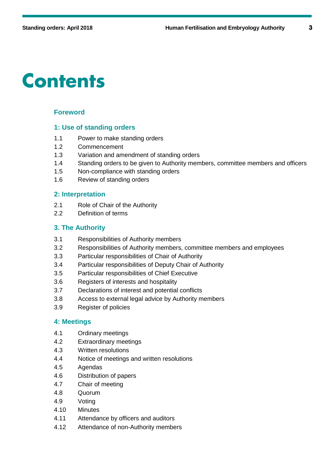# **Contents**

### **Foreword**

#### **1: Use of standing orders**

- 1.1 Power to make standing orders
- 1.2 Commencement
- 1.3 Variation and amendment of standing orders
- 1.4 Standing orders to be given to Authority members, committee members and officers
- 1.5 Non-compliance with standing orders
- 1.6 Review of standing orders

### **2: Interpretation**

- 2.1 Role of Chair of the Authority
- 2.2 Definition of terms

### **3. The Authority**

- 3.1 Responsibilities of Authority members
- 3.2 Responsibilities of Authority members, committee members and employees
- 3.3 Particular responsibilities of Chair of Authority
- 3.4 Particular responsibilities of Deputy Chair of Authority
- 3.5 Particular responsibilities of Chief Executive
- 3.6 Registers of interests and hospitality
- 3.7 Declarations of interest and potential conflicts
- 3.8 Access to external legal advice by Authority members
- 3.9 Register of policies

#### **4: Meetings**

- 4.1 Ordinary meetings
- 4.2 Extraordinary meetings
- 4.3 Written resolutions
- 4.4 Notice of meetings and written resolutions
- 4.5 Agendas
- 4.6 Distribution of papers
- 4.7 Chair of meeting
- 4.8 Quorum
- 4.9 Voting
- 4.10 Minutes
- 4.11 Attendance by officers and auditors
- 4.12 Attendance of non-Authority members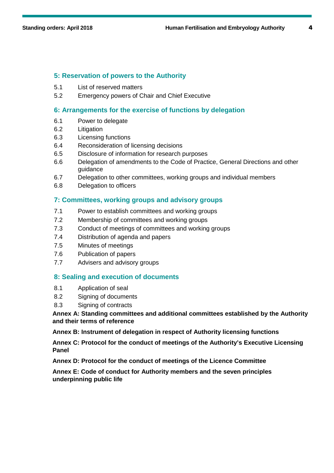### **5: Reservation of powers to the Authority**

- 5.1 List of reserved matters
- 5.2 Emergency powers of Chair and Chief Executive

#### **6: Arrangements for the exercise of functions by delegation**

- 6.1 Power to delegate
- 6.2 Litigation
- 6.3 Licensing functions
- 6.4 Reconsideration of licensing decisions
- 6.5 Disclosure of information for research purposes
- 6.6 Delegation of amendments to the Code of Practice, General Directions and other guidance
- 6.7 Delegation to other committees, working groups and individual members
- 6.8 Delegation to officers

### **7: Committees, working groups and advisory groups**

- 7.1 Power to establish committees and working groups
- 7.2 Membership of committees and working groups
- 7.3 Conduct of meetings of committees and working groups
- 7.4 Distribution of agenda and papers
- 7.5 Minutes of meetings
- 7.6 Publication of papers
- 7.7 Advisers and advisory groups

#### **8: Sealing and execution of documents**

- 8.1 Application of seal
- 8.2 Signing of documents
- 8.3 Signing of contracts

**Annex A: Standing committees and additional committees established by the Authority and their terms of reference**

**Annex B: Instrument of delegation in respect of Authority licensing functions**

**Annex C: Protocol for the conduct of meetings of the Authority's Executive Licensing Panel**

**Annex D: Protocol for the conduct of meetings of the Licence Committee** 

**Annex E: Code of conduct for Authority members and the seven principles underpinning public life**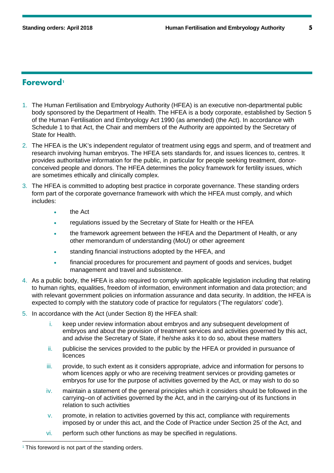### **Foreword[1](#page-4-0)**

- 1. The Human Fertilisation and Embryology Authority (HFEA) is an executive non-departmental public body sponsored by the Department of Health. The HFEA is a body corporate, established by Section 5 of the Human Fertilisation and Embryology Act 1990 (as amended) (the Act). In accordance with Schedule 1 to that Act, the Chair and members of the Authority are appointed by the Secretary of State for Health.
- 2. The HFEA is the UK's independent regulator of treatment using eggs and sperm, and of treatment and research involving human embryos. The HFEA sets standards for, and issues licences to, centres. It provides authoritative information for the public, in particular for people seeking treatment, donorconceived people and donors. The HFEA determines the policy framework for fertility issues, which are sometimes ethically and clinically complex.
- 3. The HFEA is committed to adopting best practice in corporate governance. These standing orders form part of the corporate governance framework with which the HFEA must comply, and which includes:
	- the Act
	- regulations issued by the Secretary of State for Health or the HFEA
	- the framework agreement between the HFEA and the Department of Health, or any other memorandum of understanding (MoU) or other agreement
	- standing financial instructions adopted by the HFEA, and
	- financial procedures for procurement and payment of goods and services, budget management and travel and subsistence.
- 4. As a public body, the HFEA is also required to comply with applicable legislation including that relating to human rights, equalities, freedom of information, environment information and data protection; and with relevant government policies on information assurance and data security. In addition, the HFEA is expected to comply with the statutory code of practice for regulators ('The regulators' code').
- 5. In accordance with the Act (under Section 8) the HFEA shall:
	- i. keep under review information about embryos and any subsequent development of embryos and about the provision of treatment services and activities governed by this act, and advise the Secretary of State, if he/she asks it to do so, about these matters
	- ii. publicise the services provided to the public by the HFEA or provided in pursuance of licences
	- iii. provide, to such extent as it considers appropriate, advice and information for persons to whom licences apply or who are receiving treatment services or providing gametes or embryos for use for the purpose of activities governed by the Act, or may wish to do so
	- iv. maintain a statement of the general principles which it considers should be followed in the carrying–on of activities governed by the Act, and in the carrying-out of its functions in relation to such activities
	- v. promote, in relation to activities governed by this act, compliance with requirements imposed by or under this act, and the Code of Practice under Section 25 of the Act, and
	- vi. perform such other functions as may be specified in regulations.

<span id="page-4-0"></span><sup>&</sup>lt;sup>1</sup> This foreword is not part of the standing orders.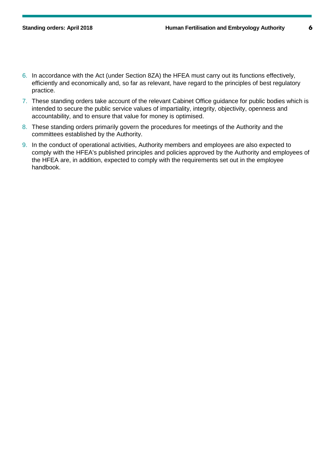- 6. In accordance with the Act (under Section 8ZA) the HFEA must carry out its functions effectively, efficiently and economically and, so far as relevant, have regard to the principles of best regulatory practice.
- 7. These standing orders take account of the relevant Cabinet Office guidance for public bodies which is intended to secure the public service values of impartiality, integrity, objectivity, openness and accountability, and to ensure that value for money is optimised.
- 8. These standing orders primarily govern the procedures for meetings of the Authority and the committees established by the Authority.
- 9. In the conduct of operational activities, Authority members and employees are also expected to comply with the HFEA's published principles and policies approved by the Authority and employees of the HFEA are, in addition, expected to comply with the requirements set out in the employee handbook.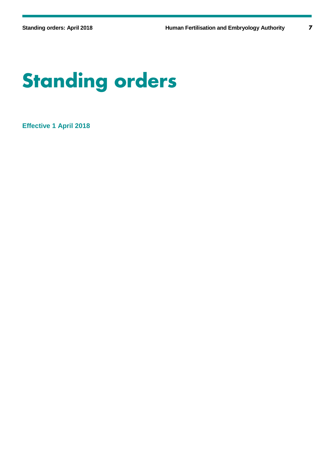# **Standing orders**

**Effective 1 April 2018**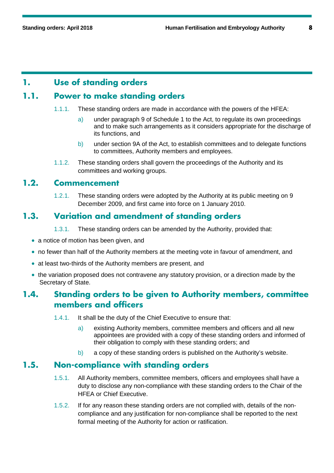### **1. Use of standing orders**

# **1.1. Power to make standing orders**

- 1.1.1. These standing orders are made in accordance with the powers of the HFEA:
	- a) under paragraph 9 of Schedule 1 to the Act, to regulate its own proceedings and to make such arrangements as it considers appropriate for the discharge of its functions, and
	- b) under section 9A of the Act, to establish committees and to delegate functions to committees, Authority members and employees.
- 1.1.2. These standing orders shall govern the proceedings of the Authority and its committees and working groups.

### **1.2. Commencement**

1.2.1. These standing orders were adopted by the Authority at its public meeting on 9 December 2009, and first came into force on 1 January 2010.

### **1.3. Variation and amendment of standing orders**

- 1.3.1. These standing orders can be amended by the Authority, provided that:
- a notice of motion has been given, and
- no fewer than half of the Authority members at the meeting vote in favour of amendment, and
- at least two-thirds of the Authority members are present, and
- the variation proposed does not contravene any statutory provision, or a direction made by the Secretary of State.

### **1.4. Standing orders to be given to Authority members, committee members and officers**

- 1.4.1. It shall be the duty of the Chief Executive to ensure that:
	- a) existing Authority members, committee members and officers and all new appointees are provided with a copy of these standing orders and informed of their obligation to comply with these standing orders; and
	- b) a copy of these standing orders is published on the Authority's website.

### **1.5. Non-compliance with standing orders**

- 1.5.1. All Authority members, committee members, officers and employees shall have a duty to disclose any non-compliance with these standing orders to the Chair of the HFEA or Chief Executive.
- 1.5.2. If for any reason these standing orders are not complied with, details of the noncompliance and any justification for non-compliance shall be reported to the next formal meeting of the Authority for action or ratification.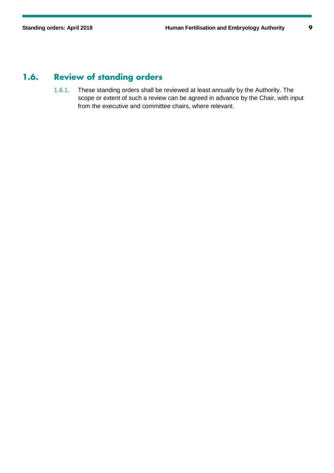# **1.6. Review of standing orders**

1.6.1. These standing orders shall be reviewed at least annually by the Authority. The scope or extent of such a review can be agreed in advance by the Chair, with input from the executive and committee chairs, where relevant.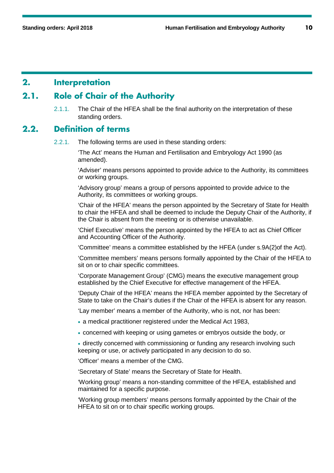### **2. Interpretation**

# **2.1. Role of Chair of the Authority**

2.1.1. The Chair of the HFEA shall be the final authority on the interpretation of these standing orders.

### **2.2. Definition of terms**

2.2.1. The following terms are used in these standing orders:

'The Act' means the Human and Fertilisation and Embryology Act 1990 (as amended).

'Adviser' means persons appointed to provide advice to the Authority, its committees or working groups.

'Advisory group' means a group of persons appointed to provide advice to the Authority, its committees or working groups.

'Chair of the HFEA' means the person appointed by the Secretary of State for Health to chair the HFEA and shall be deemed to include the Deputy Chair of the Authority, if the Chair is absent from the meeting or is otherwise unavailable.

'Chief Executive' means the person appointed by the HFEA to act as Chief Officer and Accounting Officer of the Authority.

'Committee' means a committee established by the HFEA (under s.9A(2)of the Act).

'Committee members' means persons formally appointed by the Chair of the HFEA to sit on or to chair specific committees.

'Corporate Management Group' (CMG) means the executive management group established by the Chief Executive for effective management of the HFEA.

'Deputy Chair of the HFEA' means the HFEA member appointed by the Secretary of State to take on the Chair's duties if the Chair of the HFEA is absent for any reason.

'Lay member' means a member of the Authority, who is not, nor has been:

• a medical practitioner registered under the Medical Act 1983,

• concerned with keeping or using gametes or embryos outside the body, or

• directly concerned with commissioning or funding any research involving such keeping or use, or actively participated in any decision to do so.

'Officer' means a member of the CMG.

'Secretary of State' means the Secretary of State for Health.

'Working group' means a non-standing committee of the HFEA, established and maintained for a specific purpose.

'Working group members' means persons formally appointed by the Chair of the HFEA to sit on or to chair specific working groups.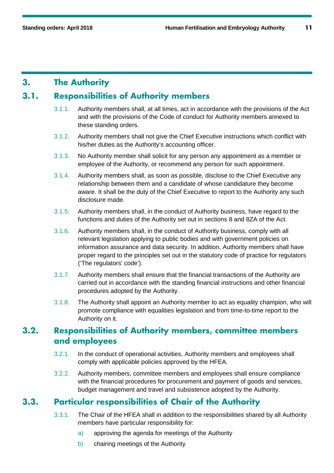### **3. The Authority**

### **3.1. Responsibilities of Authority members**

- 3.1.1. Authority members shall, at all times, act in accordance with the provisions of the Act and with the provisions of the Code of conduct for Authority members annexed to these standing orders.
- 3.1.2. Authority members shall not give the Chief Executive instructions which conflict with his/her duties as the Authority's accounting officer.
- 3.1.3. No Authority member shall solicit for any person any appointment as a member or employee of the Authority, or recommend any person for such appointment.
- 3.1.4. Authority members shall, as soon as possible, disclose to the Chief Executive any relationship between them and a candidate of whose candidature they become aware. It shall be the duty of the Chief Executive to report to the Authority any such disclosure made.
- 3.1.5. Authority members shall, in the conduct of Authority business, have regard to the functions and duties of the Authority set out in sections 8 and 8ZA of the Act.
- 3.1.6. Authority members shall, in the conduct of Authority business, comply with all relevant legislation applying to public bodies and with government policies on information assurance and data security. In addition, Authority members shall have proper regard to the principles set out in the statutory code of practice for regulators ('The regulators' code').
- 3.1.7. Authority members shall ensure that the financial transactions of the Authority are carried out in accordance with the standing financial instructions and other financial procedures adopted by the Authority.
- 3.1.8. The Authority shall appoint an Authority member to act as equality champion, who will promote compliance with equalities legislation and from time-to-time report to the Authority on it.

### **3.2. Responsibilities of Authority members, committee members and employees**

- 3.2.1. In the conduct of operational activities, Authority members and employees shall comply with applicable policies approved by the HFEA.
- 3.2.2. Authority members, committee members and employees shall ensure compliance with the financial procedures for procurement and payment of goods and services, budget management and travel and subsistence adopted by the Authority.

## **3.3. Particular responsibilities of Chair of the Authority**

- 3.3.1. The Chair of the HFEA shall in addition to the responsibilities shared by all Authority members have particular responsibility for:
	- a) approving the agenda for meetings of the Authority
	- b) chairing meetings of the Authority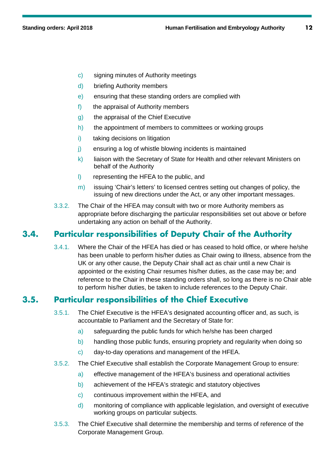- c) signing minutes of Authority meetings
- d) briefing Authority members
- e) ensuring that these standing orders are complied with
- f) the appraisal of Authority members
- g) the appraisal of the Chief Executive
- h) the appointment of members to committees or working groups
- i) taking decisions on litigation
- j) ensuring a log of whistle blowing incidents is maintained
- $k$ ) liaison with the Secretary of State for Health and other relevant Ministers on behalf of the Authority
- l) representing the HFEA to the public, and
- m) issuing 'Chair's letters' to licensed centres setting out changes of policy, the issuing of new directions under the Act, or any other important messages.
- 3.3.2. The Chair of the HFEA may consult with two or more Authority members as appropriate before discharging the particular responsibilities set out above or before undertaking any action on behalf of the Authority.

### **3.4. Particular responsibilities of Deputy Chair of the Authority**

3.4.1. Where the Chair of the HFEA has died or has ceased to hold office, or where he/she has been unable to perform his/her duties as Chair owing to illness, absence from the UK or any other cause, the Deputy Chair shall act as chair until a new Chair is appointed or the existing Chair resumes his/her duties, as the case may be; and reference to the Chair in these standing orders shall, so long as there is no Chair able to perform his/her duties, be taken to include references to the Deputy Chair.

### **3.5. Particular responsibilities of the Chief Executive**

- 3.5.1. The Chief Executive is the HFEA's designated accounting officer and, as such, is accountable to Parliament and the Secretary of State for:
	- a) safeguarding the public funds for which he/she has been charged
	- b) handling those public funds, ensuring propriety and regularity when doing so
	- c) day-to-day operations and management of the HFEA.
- 3.5.2. The Chief Executive shall establish the Corporate Management Group to ensure:
	- a) effective management of the HFEA's business and operational activities
	- b) achievement of the HFEA's strategic and statutory objectives
	- c) continuous improvement within the HFEA, and
	- d) monitoring of compliance with applicable legislation, and oversight of executive working groups on particular subjects.
- 3.5.3. The Chief Executive shall determine the membership and terms of reference of the Corporate Management Group.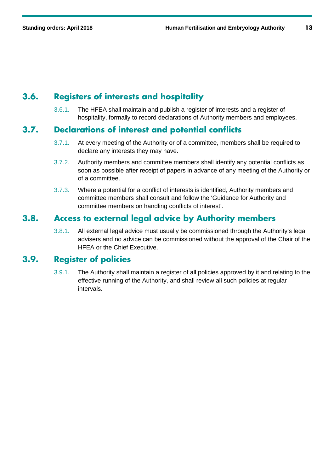# **3.6. Registers of interests and hospitality**

3.6.1. The HFEA shall maintain and publish a register of interests and a register of hospitality, formally to record declarations of Authority members and employees.

### **3.7. Declarations of interest and potential conflicts**

- 3.7.1. At every meeting of the Authority or of a committee, members shall be required to declare any interests they may have.
- 3.7.2. Authority members and committee members shall identify any potential conflicts as soon as possible after receipt of papers in advance of any meeting of the Authority or of a committee.
- 3.7.3. Where a potential for a conflict of interests is identified, Authority members and committee members shall consult and follow the 'Guidance for Authority and committee members on handling conflicts of interest'.

### **3.8. Access to external legal advice by Authority members**

3.8.1. All external legal advice must usually be commissioned through the Authority's legal advisers and no advice can be commissioned without the approval of the Chair of the HFEA or the Chief Executive.

### **3.9. Register of policies**

3.9.1. The Authority shall maintain a register of all policies approved by it and relating to the effective running of the Authority, and shall review all such policies at regular intervals.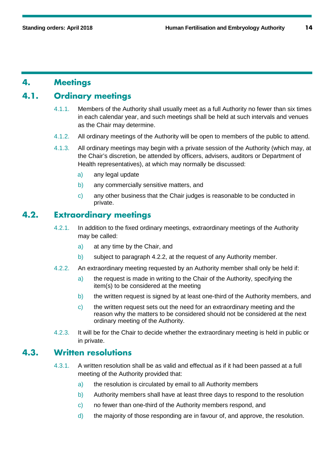### **4. Meetings**

### **4.1. Ordinary meetings**

- 4.1.1. Members of the Authority shall usually meet as a full Authority no fewer than six times in each calendar year, and such meetings shall be held at such intervals and venues as the Chair may determine.
- 4.1.2. All ordinary meetings of the Authority will be open to members of the public to attend.
- 4.1.3. All ordinary meetings may begin with a private session of the Authority (which may, at the Chair's discretion, be attended by officers, advisers, auditors or Department of Health representatives), at which may normally be discussed:
	- a) any legal update
	- b) any commercially sensitive matters, and
	- c) any other business that the Chair judges is reasonable to be conducted in private.

### **4.2. Extraordinary meetings**

- 4.2.1. In addition to the fixed ordinary meetings, extraordinary meetings of the Authority may be called:
	- a) at any time by the Chair, and
	- b) subject to paragraph 4.2.2, at the request of any Authority member.
- 4.2.2. An extraordinary meeting requested by an Authority member shall only be held if:
	- a) the request is made in writing to the Chair of the Authority, specifying the item(s) to be considered at the meeting
	- b) the written request is signed by at least one-third of the Authority members, and
	- c) the written request sets out the need for an extraordinary meeting and the reason why the matters to be considered should not be considered at the next ordinary meeting of the Authority.
- 4.2.3. It will be for the Chair to decide whether the extraordinary meeting is held in public or in private.

### **4.3. Written resolutions**

- 4.3.1. A written resolution shall be as valid and effectual as if it had been passed at a full meeting of the Authority provided that:
	- a) the resolution is circulated by email to all Authority members
	- b) Authority members shall have at least three days to respond to the resolution
	- c) no fewer than one-third of the Authority members respond, and
	- d) the majority of those responding are in favour of, and approve, the resolution.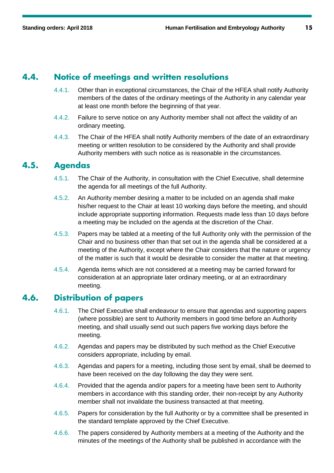### **4.4. Notice of meetings and written resolutions**

- 4.4.1. Other than in exceptional circumstances, the Chair of the HFEA shall notify Authority members of the dates of the ordinary meetings of the Authority in any calendar year at least one month before the beginning of that year.
- 4.4.2. Failure to serve notice on any Authority member shall not affect the validity of an ordinary meeting.
- 4.4.3. The Chair of the HFEA shall notify Authority members of the date of an extraordinary meeting or written resolution to be considered by the Authority and shall provide Authority members with such notice as is reasonable in the circumstances.

### **4.5. Agendas**

- 4.5.1. The Chair of the Authority, in consultation with the Chief Executive, shall determine the agenda for all meetings of the full Authority.
- 4.5.2. An Authority member desiring a matter to be included on an agenda shall make his/her request to the Chair at least 10 working days before the meeting, and should include appropriate supporting information. Requests made less than 10 days before a meeting may be included on the agenda at the discretion of the Chair.
- 4.5.3. Papers may be tabled at a meeting of the full Authority only with the permission of the Chair and no business other than that set out in the agenda shall be considered at a meeting of the Authority, except where the Chair considers that the nature or urgency of the matter is such that it would be desirable to consider the matter at that meeting.
- 4.5.4. Agenda items which are not considered at a meeting may be carried forward for consideration at an appropriate later ordinary meeting, or at an extraordinary meeting.

### **4.6. Distribution of papers**

- 4.6.1. The Chief Executive shall endeavour to ensure that agendas and supporting papers (where possible) are sent to Authority members in good time before an Authority meeting, and shall usually send out such papers five working days before the meeting.
- 4.6.2. Agendas and papers may be distributed by such method as the Chief Executive considers appropriate, including by email.
- 4.6.3. Agendas and papers for a meeting, including those sent by email, shall be deemed to have been received on the day following the day they were sent.
- 4.6.4. Provided that the agenda and/or papers for a meeting have been sent to Authority members in accordance with this standing order, their non-receipt by any Authority member shall not invalidate the business transacted at that meeting.
- 4.6.5. Papers for consideration by the full Authority or by a committee shall be presented in the standard template approved by the Chief Executive.
- 4.6.6. The papers considered by Authority members at a meeting of the Authority and the minutes of the meetings of the Authority shall be published in accordance with the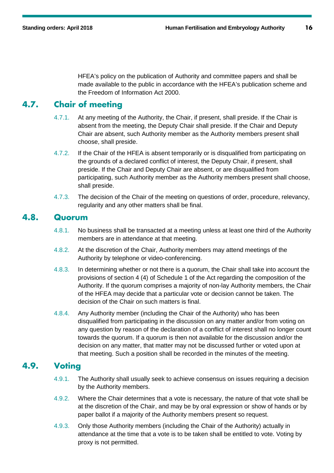HFEA's policy on the publication of Authority and committee papers and shall be made available to the public in accordance with the HFEA's publication scheme and the Freedom of Information Act 2000.

# **4.7. Chair of meeting**

- 4.7.1. At any meeting of the Authority, the Chair, if present, shall preside. If the Chair is absent from the meeting, the Deputy Chair shall preside. If the Chair and Deputy Chair are absent, such Authority member as the Authority members present shall choose, shall preside.
- 4.7.2. If the Chair of the HFEA is absent temporarily or is disqualified from participating on the grounds of a declared conflict of interest, the Deputy Chair, if present, shall preside. If the Chair and Deputy Chair are absent, or are disqualified from participating, such Authority member as the Authority members present shall choose, shall preside.
- 4.7.3. The decision of the Chair of the meeting on questions of order, procedure, relevancy, regularity and any other matters shall be final.

### **4.8. Quorum**

- 4.8.1. No business shall be transacted at a meeting unless at least one third of the Authority members are in attendance at that meeting.
- 4.8.2. At the discretion of the Chair, Authority members may attend meetings of the Authority by telephone or video-conferencing.
- 4.8.3. In determining whether or not there is a quorum, the Chair shall take into account the provisions of section 4 (4) of Schedule 1 of the Act regarding the composition of the Authority. If the quorum comprises a majority of non-lay Authority members, the Chair of the HFEA may decide that a particular vote or decision cannot be taken. The decision of the Chair on such matters is final.
- 4.8.4. Any Authority member (including the Chair of the Authority) who has been disqualified from participating in the discussion on any matter and/or from voting on any question by reason of the declaration of a conflict of interest shall no longer count towards the quorum. If a quorum is then not available for the discussion and/or the decision on any matter, that matter may not be discussed further or voted upon at that meeting. Such a position shall be recorded in the minutes of the meeting.

### **4.9. Voting**

- 4.9.1. The Authority shall usually seek to achieve consensus on issues requiring a decision by the Authority members.
- 4.9.2. Where the Chair determines that a vote is necessary, the nature of that vote shall be at the discretion of the Chair, and may be by oral expression or show of hands or by paper ballot if a majority of the Authority members present so request.
- 4.9.3. Only those Authority members (including the Chair of the Authority) actually in attendance at the time that a vote is to be taken shall be entitled to vote. Voting by proxy is not permitted.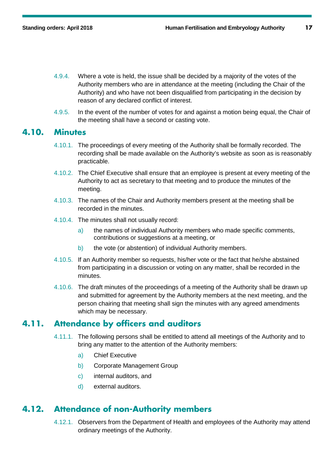- 4.9.4. Where a vote is held, the issue shall be decided by a majority of the votes of the Authority members who are in attendance at the meeting (including the Chair of the Authority) and who have not been disqualified from participating in the decision by reason of any declared conflict of interest.
- 4.9.5. In the event of the number of votes for and against a motion being equal, the Chair of the meeting shall have a second or casting vote.

### **4.10. Minutes**

- 4.10.1. The proceedings of every meeting of the Authority shall be formally recorded. The recording shall be made available on the Authority's website as soon as is reasonably practicable.
- 4.10.2. The Chief Executive shall ensure that an employee is present at every meeting of the Authority to act as secretary to that meeting and to produce the minutes of the meeting.
- 4.10.3. The names of the Chair and Authority members present at the meeting shall be recorded in the minutes.
- 4.10.4. The minutes shall not usually record:
	- a) the names of individual Authority members who made specific comments, contributions or suggestions at a meeting, or
	- b) the vote (or abstention) of individual Authority members.
- 4.10.5. If an Authority member so requests, his/her vote or the fact that he/she abstained from participating in a discussion or voting on any matter, shall be recorded in the minutes.
- 4.10.6. The draft minutes of the proceedings of a meeting of the Authority shall be drawn up and submitted for agreement by the Authority members at the next meeting, and the person chairing that meeting shall sign the minutes with any agreed amendments which may be necessary.

### **4.11. Attendance by officers and auditors**

- 4.11.1. The following persons shall be entitled to attend all meetings of the Authority and to bring any matter to the attention of the Authority members:
	- a) Chief Executive
	- b) Corporate Management Group
	- c) internal auditors, and
	- d) external auditors.

### **4.12. Attendance of non-Authority members**

4.12.1. Observers from the Department of Health and employees of the Authority may attend ordinary meetings of the Authority.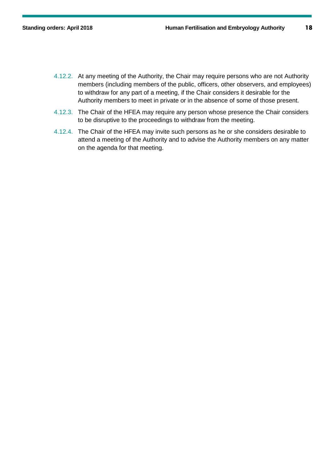- 4.12.2. At any meeting of the Authority, the Chair may require persons who are not Authority members (including members of the public, officers, other observers, and employees) to withdraw for any part of a meeting, if the Chair considers it desirable for the Authority members to meet in private or in the absence of some of those present.
- 4.12.3. The Chair of the HFEA may require any person whose presence the Chair considers to be disruptive to the proceedings to withdraw from the meeting.
- 4.12.4. The Chair of the HFEA may invite such persons as he or she considers desirable to attend a meeting of the Authority and to advise the Authority members on any matter on the agenda for that meeting.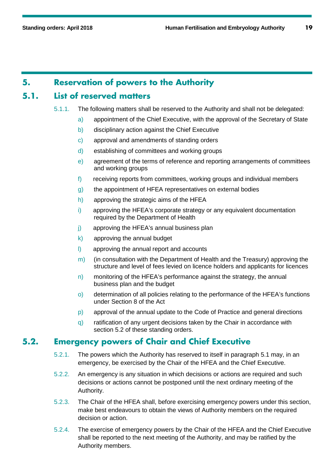### **5. Reservation of powers to the Authority**

### **5.1. List of reserved matters**

- 5.1.1. The following matters shall be reserved to the Authority and shall not be delegated:
	- a) appointment of the Chief Executive, with the approval of the Secretary of State
	- b) disciplinary action against the Chief Executive
	- c) approval and amendments of standing orders
	- d) establishing of committees and working groups
	- e) agreement of the terms of reference and reporting arrangements of committees and working groups
	- f) receiving reports from committees, working groups and individual members
	- g) the appointment of HFEA representatives on external bodies
	- h) approving the strategic aims of the HFEA
	- i) approving the HFEA's corporate strategy or any equivalent documentation required by the Department of Health
	- j) approving the HFEA's annual business plan
	- k) approving the annual budget
	- l) approving the annual report and accounts
	- m) (in consultation with the Department of Health and the Treasury) approving the structure and level of fees levied on licence holders and applicants for licences
	- $n)$  monitoring of the HFEA's performance against the strategy, the annual business plan and the budget
	- o) determination of all policies relating to the performance of the HFEA's functions under Section 8 of the Act
	- p) approval of the annual update to the Code of Practice and general directions
	- q) ratification of any urgent decisions taken by the Chair in accordance with section [5.2](#page-18-0) of these standing orders.

### <span id="page-18-0"></span>**5.2. Emergency powers of Chair and Chief Executive**

- 5.2.1. The powers which the Authority has reserved to itself in paragraph 5.1 may, in an emergency, be exercised by the Chair of the HFEA and the Chief Executive.
- 5.2.2. An emergency is any situation in which decisions or actions are required and such decisions or actions cannot be postponed until the next ordinary meeting of the Authority.
- 5.2.3. The Chair of the HFEA shall, before exercising emergency powers under this section, make best endeavours to obtain the views of Authority members on the required decision or action.
- 5.2.4. The exercise of emergency powers by the Chair of the HFEA and the Chief Executive shall be reported to the next meeting of the Authority, and may be ratified by the Authority members.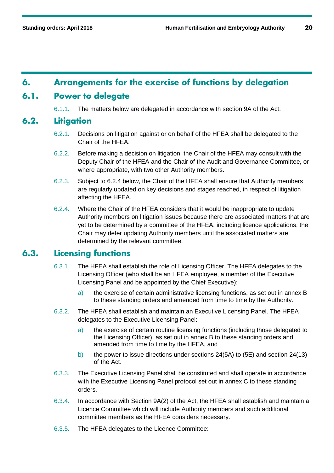### **6. Arrangements for the exercise of functions by delegation**

### **6.1. Power to delegate**

6.1.1. The matters below are delegated in accordance with section 9A of the Act.

### **6.2. Litigation**

- 6.2.1. Decisions on litigation against or on behalf of the HFEA shall be delegated to the Chair of the HFEA.
- 6.2.2. Before making a decision on litigation, the Chair of the HFEA may consult with the Deputy Chair of the HFEA and the Chair of the Audit and Governance Committee, or where appropriate, with two other Authority members.
- 6.2.3. Subject to [6.2.4](#page-19-0) below, the Chair of the HFEA shall ensure that Authority members are regularly updated on key decisions and stages reached, in respect of litigation affecting the HFEA.
- <span id="page-19-0"></span>6.2.4. Where the Chair of the HFEA considers that it would be inappropriate to update Authority members on litigation issues because there are associated matters that are yet to be determined by a committee of the HFEA, including licence applications, the Chair may defer updating Authority members until the associated matters are determined by the relevant committee.

### **6.3. Licensing functions**

- 6.3.1. The HFEA shall establish the role of Licensing Officer. The HFEA delegates to the Licensing Officer (who shall be an HFEA employee, a member of the Executive Licensing Panel and be appointed by the Chief Executive):
	- a) the exercise of certain administrative licensing functions, as set out in annex B to these standing orders and amended from time to time by the Authority.
- 6.3.2. The HFEA shall establish and maintain an Executive Licensing Panel. The HFEA delegates to the Executive Licensing Panel:
	- a) the exercise of certain routine licensing functions (including those delegated to the Licensing Officer), as set out in annex B to these standing orders and amended from time to time by the HFEA, and
	- b) the power to issue directions under sections 24(5A) to (5E) and section 24(13) of the Act.
- 6.3.3. The Executive Licensing Panel shall be constituted and shall operate in accordance with the Executive Licensing Panel protocol set out in annex C to these standing orders.
- 6.3.4. In accordance with Section 9A(2) of the Act, the HFEA shall establish and maintain a Licence Committee which will include Authority members and such additional committee members as the HFEA considers necessary.
- 6.3.5. The HFEA delegates to the Licence Committee: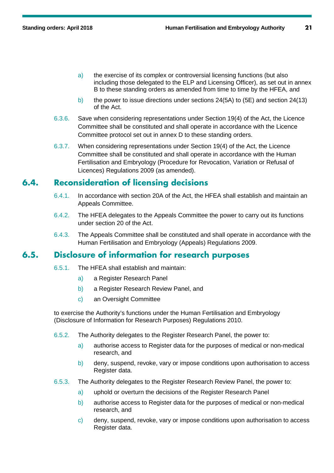- a) the exercise of its complex or controversial licensing functions (but also including those delegated to the ELP and Licensing Officer), as set out in annex B to these standing orders as amended from time to time by the HFEA, and
- b) the power to issue directions under sections 24(5A) to (5E) and section 24(13) of the Act.
- 6.3.6. Save when considering representations under Section 19(4) of the Act, the Licence Committee shall be constituted and shall operate in accordance with the Licence Committee protocol set out in annex D to these standing orders.
- 6.3.7. When considering representations under Section 19(4) of the Act, the Licence Committee shall be constituted and shall operate in accordance with the Human Fertilisation and Embryology (Procedure for Revocation, Variation or Refusal of Licences) Regulations 2009 (as amended).

### **6.4. Reconsideration of licensing decisions**

- 6.4.1. In accordance with section 20A of the Act, the HFEA shall establish and maintain an Appeals Committee.
- 6.4.2. The HFEA delegates to the Appeals Committee the power to carry out its functions under section 20 of the Act.
- 6.4.3. The Appeals Committee shall be constituted and shall operate in accordance with the Human Fertilisation and Embryology (Appeals) Regulations 2009.

### **6.5. Disclosure of information for research purposes**

- 6.5.1. The HFEA shall establish and maintain:
	- a) a Register Research Panel
	- b) a Register Research Review Panel, and
	- c) an Oversight Committee

to exercise the Authority's functions under the Human Fertilisation and Embryology (Disclosure of Information for Research Purposes) Regulations 2010.

- 6.5.2. The Authority delegates to the Register Research Panel, the power to:
	- a) authorise access to Register data for the purposes of medical or non-medical research, and
	- b) deny, suspend, revoke, vary or impose conditions upon authorisation to access Register data.
- 6.5.3. The Authority delegates to the Register Research Review Panel, the power to:
	- a) uphold or overturn the decisions of the Register Research Panel
	- b) authorise access to Register data for the purposes of medical or non-medical research, and
	- c) deny, suspend, revoke, vary or impose conditions upon authorisation to access Register data.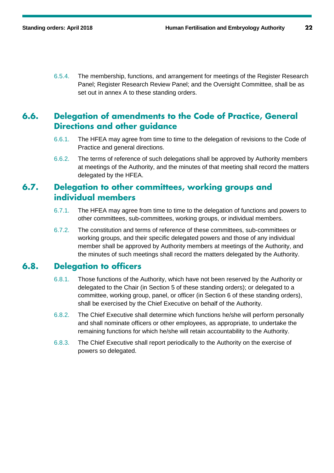6.5.4. The membership, functions, and arrangement for meetings of the Register Research Panel; Register Research Review Panel; and the Oversight Committee, shall be as set out in annex A to these standing orders.

### **6.6. Delegation of amendments to the Code of Practice, General Directions and other guidance**

- 6.6.1. The HFEA may agree from time to time to the delegation of revisions to the Code of Practice and general directions.
- 6.6.2. The terms of reference of such delegations shall be approved by Authority members at meetings of the Authority, and the minutes of that meeting shall record the matters delegated by the HFEA.

### **6.7. Delegation to other committees, working groups and individual members**

- 6.7.1. The HFEA may agree from time to time to the delegation of functions and powers to other committees, sub-committees, working groups, or individual members.
- 6.7.2. The constitution and terms of reference of these committees, sub-committees or working groups, and their specific delegated powers and those of any individual member shall be approved by Authority members at meetings of the Authority, and the minutes of such meetings shall record the matters delegated by the Authority.

### **6.8. Delegation to officers**

- 6.8.1. Those functions of the Authority, which have not been reserved by the Authority or delegated to the Chair (in Section 5 of these standing orders); or delegated to a committee, working group, panel, or officer (in Section 6 of these standing orders), shall be exercised by the Chief Executive on behalf of the Authority.
- 6.8.2. The Chief Executive shall determine which functions he/she will perform personally and shall nominate officers or other employees, as appropriate, to undertake the remaining functions for which he/she will retain accountability to the Authority.
- 6.8.3. The Chief Executive shall report periodically to the Authority on the exercise of powers so delegated.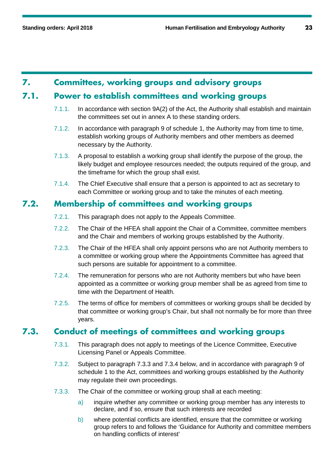### **7. Committees, working groups and advisory groups**

### **7.1. Power to establish committees and working groups**

- 7.1.1. In accordance with section 9A(2) of the Act, the Authority shall establish and maintain the committees set out in annex A to these standing orders.
- 7.1.2. In accordance with paragraph 9 of schedule 1, the Authority may from time to time, establish working groups of Authority members and other members as deemed necessary by the Authority.
- 7.1.3. A proposal to establish a working group shall identify the purpose of the group, the likely budget and employee resources needed; the outputs required of the group, and the timeframe for which the group shall exist.
- 7.1.4. The Chief Executive shall ensure that a person is appointed to act as secretary to each Committee or working group and to take the minutes of each meeting.

### **7.2. Membership of committees and working groups**

- 7.2.1. This paragraph does not apply to the Appeals Committee.
- 7.2.2. The Chair of the HFEA shall appoint the Chair of a Committee, committee members and the Chair and members of working groups established by the Authority.
- 7.2.3. The Chair of the HFEA shall only appoint persons who are not Authority members to a committee or working group where the Appointments Committee has agreed that such persons are suitable for appointment to a committee.
- 7.2.4. The remuneration for persons who are not Authority members but who have been appointed as a committee or working group member shall be as agreed from time to time with the Department of Health.
- 7.2.5. The terms of office for members of committees or working groups shall be decided by that committee or working group's Chair, but shall not normally be for more than three years.

### **7.3. Conduct of meetings of committees and working groups**

- 7.3.1. This paragraph does not apply to meetings of the Licence Committee, Executive Licensing Panel or Appeals Committee.
- 7.3.2. Subject to paragraph 7.3.3 and 7.3.4 below, and in accordance with paragraph 9 of schedule 1 to the Act, committees and working groups established by the Authority may regulate their own proceedings.
- 7.3.3. The Chair of the committee or working group shall at each meeting:
	- a) inquire whether any committee or working group member has any interests to declare, and if so, ensure that such interests are recorded
	- b) where potential conflicts are identified, ensure that the committee or working group refers to and follows the 'Guidance for Authority and committee members on handling conflicts of interest'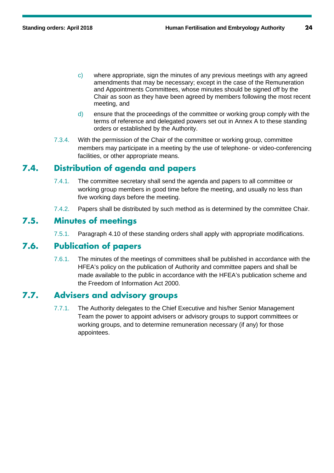- c) where appropriate, sign the minutes of any previous meetings with any agreed amendments that may be necessary; except in the case of the Remuneration and Appointments Committees, whose minutes should be signed off by the Chair as soon as they have been agreed by members following the most recent meeting, and
- d) ensure that the proceedings of the committee or working group comply with the terms of reference and delegated powers set out in Annex A to these standing orders or established by the Authority.
- 7.3.4. With the permission of the Chair of the committee or working group, committee members may participate in a meeting by the use of telephone- or video-conferencing facilities, or other appropriate means.

### **7.4. Distribution of agenda and papers**

- 7.4.1. The committee secretary shall send the agenda and papers to all committee or working group members in good time before the meeting, and usually no less than five working days before the meeting.
- 7.4.2. Papers shall be distributed by such method as is determined by the committee Chair.

### **7.5. Minutes of meetings**

7.5.1. Paragraph 4.10 of these standing orders shall apply with appropriate modifications.

### **7.6. Publication of papers**

7.6.1. The minutes of the meetings of committees shall be published in accordance with the HFEA's policy on the publication of Authority and committee papers and shall be made available to the public in accordance with the HFEA's publication scheme and the Freedom of Information Act 2000.

### **7.7. Advisers and advisory groups**

7.7.1. The Authority delegates to the Chief Executive and his/her Senior Management Team the power to appoint advisers or advisory groups to support committees or working groups, and to determine remuneration necessary (if any) for those appointees.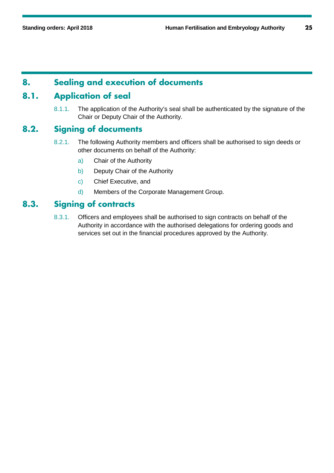### **8. Sealing and execution of documents**

### **8.1. Application of seal**

8.1.1. The application of the Authority's seal shall be authenticated by the signature of the Chair or Deputy Chair of the Authority.

### **8.2. Signing of documents**

- 8.2.1. The following Authority members and officers shall be authorised to sign deeds or other documents on behalf of the Authority:
	- a) Chair of the Authority
	- b) Deputy Chair of the Authority
	- c) Chief Executive, and
	- d) Members of the Corporate Management Group.

### **8.3. Signing of contracts**

8.3.1. Officers and employees shall be authorised to sign contracts on behalf of the Authority in accordance with the authorised delegations for ordering goods and services set out in the financial procedures approved by the Authority.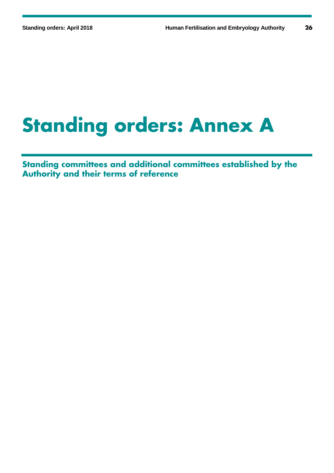# **Standing orders: Annex A**

**Standing committees and additional committees established by the Authority and their terms of reference**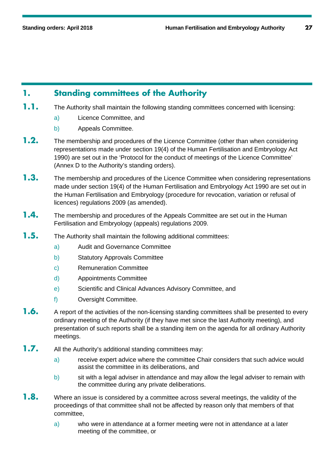## **1. Standing committees of the Authority**

- **1.1.** The Authority shall maintain the following standing committees concerned with licensing:
	- a) Licence Committee, and
	- b) Appeals Committee.
- **1.2.** The membership and procedures of the Licence Committee (other than when considering representations made under section 19(4) of the Human Fertilisation and Embryology Act 1990) are set out in the 'Protocol for the conduct of meetings of the Licence Committee' (Annex D to the Authority's standing orders).
- **1.3.** The membership and procedures of the Licence Committee when considering representations made under section 19(4) of the Human Fertilisation and Embryology Act 1990 are set out in the Human Fertilisation and Embryology (procedure for revocation, variation or refusal of licences) regulations 2009 (as amended).
- **1.4.** The membership and procedures of the Appeals Committee are set out in the Human Fertilisation and Embryology (appeals) regulations 2009.
- **1.5.** The Authority shall maintain the following additional committees:
	- a) Audit and Governance Committee
	- b) Statutory Approvals Committee
	- c) Remuneration Committee
	- d) Appointments Committee
	- e) Scientific and Clinical Advances Advisory Committee, and
	- f) Oversight Committee.
- **1.6.** A report of the activities of the non-licensing standing committees shall be presented to every ordinary meeting of the Authority (if they have met since the last Authority meeting), and presentation of such reports shall be a standing item on the agenda for all ordinary Authority meetings.
- **1.7.** All the Authority's additional standing committees may:
	- a) receive expert advice where the committee Chair considers that such advice would assist the committee in its deliberations, and
	- b) sit with a legal adviser in attendance and may allow the legal adviser to remain with the committee during any private deliberations.
- **1.8.** Where an issue is considered by a committee across several meetings, the validity of the proceedings of that committee shall not be affected by reason only that members of that committee,
	- a) who were in attendance at a former meeting were not in attendance at a later meeting of the committee, or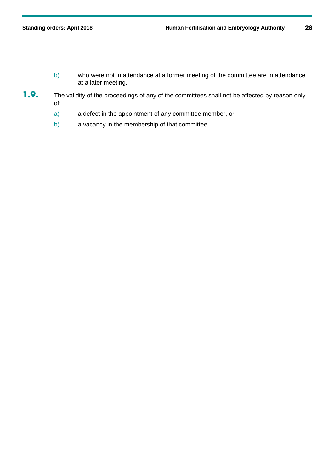- b) who were not in attendance at a former meeting of the committee are in attendance at a later meeting.
- 1.9. The validity of the proceedings of any of the committees shall not be affected by reason only of:
	- a) a defect in the appointment of any committee member, or
	- b) a vacancy in the membership of that committee.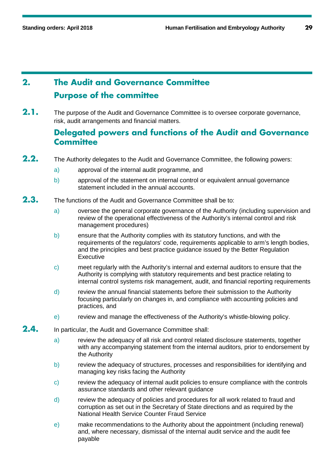# **2. The Audit and Governance Committee Purpose of the committee**

2.1. The purpose of the Audit and Governance Committee is to oversee corporate governance, risk, audit arrangements and financial matters.

### **Delegated powers and functions of the Audit and Governance Committee**

- **2.2.** The Authority delegates to the Audit and Governance Committee, the following powers:
	- a) approval of the internal audit programme, and
	- b) approval of the statement on internal control or equivalent annual governance statement included in the annual accounts.
- **2.3.** The functions of the Audit and Governance Committee shall be to:
	- a) oversee the general corporate governance of the Authority (including supervision and review of the operational effectiveness of the Authority's internal control and risk management procedures)
	- b) ensure that the Authority complies with its statutory functions, and with the requirements of the regulators' code, requirements applicable to arm's length bodies, and the principles and best practice guidance issued by the Better Regulation **Executive**
	- c) meet regularly with the Authority's internal and external auditors to ensure that the Authority is complying with statutory requirements and best practice relating to internal control systems risk management, audit, and financial reporting requirements
	- d) review the annual financial statements before their submission to the Authority focusing particularly on changes in, and compliance with accounting policies and practices, and
	- e) review and manage the effectiveness of the Authority's whistle-blowing policy.
- **2.4.** In particular, the Audit and Governance Committee shall:
	- a) review the adequacy of all risk and control related disclosure statements, together with any accompanying statement from the internal auditors, prior to endorsement by the Authority
	- b) review the adequacy of structures, processes and responsibilities for identifying and managing key risks facing the Authority
	- c) review the adequacy of internal audit policies to ensure compliance with the controls assurance standards and other relevant guidance
	- d) review the adequacy of policies and procedures for all work related to fraud and corruption as set out in the Secretary of State directions and as required by the National Health Service Counter Fraud Service
	- e) make recommendations to the Authority about the appointment (including renewal) and, where necessary, dismissal of the internal audit service and the audit fee payable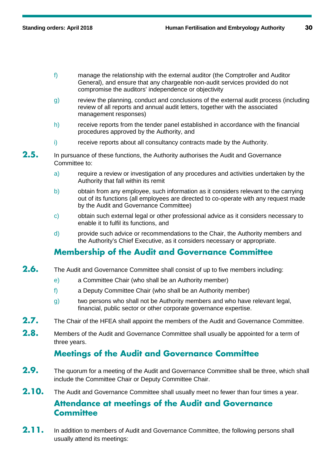- f) manage the relationship with the external auditor (the Comptroller and Auditor General), and ensure that any chargeable non-audit services provided do not compromise the auditors' independence or objectivity
- g) review the planning, conduct and conclusions of the external audit process (including review of all reports and annual audit letters, together with the associated management responses)
- h) receive reports from the tender panel established in accordance with the financial procedures approved by the Authority, and
- i) receive reports about all consultancy contracts made by the Authority.
- 2.5. In pursuance of these functions, the Authority authorises the Audit and Governance Committee to:
	- a) require a review or investigation of any procedures and activities undertaken by the Authority that fall within its remit
	- b) obtain from any employee, such information as it considers relevant to the carrying out of its functions (all employees are directed to co-operate with any request made by the Audit and Governance Committee)
	- c) obtain such external legal or other professional advice as it considers necessary to enable it to fulfil its functions, and
	- d) provide such advice or recommendations to the Chair, the Authority members and the Authority's Chief Executive, as it considers necessary or appropriate.

## **Membership of the Audit and Governance Committee**

- **2.6.** The Audit and Governance Committee shall consist of up to five members including:
	- e) a Committee Chair (who shall be an Authority member)
	- f) a Deputy Committee Chair (who shall be an Authority member)
	- g) two persons who shall not be Authority members and who have relevant legal, financial, public sector or other corporate governance expertise.
- 2.7. The Chair of the HFEA shall appoint the members of the Audit and Governance Committee.
- **2.8.** Members of the Audit and Governance Committee shall usually be appointed for a term of three years.

# **Meetings of the Audit and Governance Committee**

- **2.9.** The quorum for a meeting of the Audit and Governance Committee shall be three, which shall include the Committee Chair or Deputy Committee Chair.
- **2.10.** The Audit and Governance Committee shall usually meet no fewer than four times a year.

### **Attendance at meetings of the Audit and Governance Committee**

2.11. In addition to members of Audit and Governance Committee, the following persons shall usually attend its meetings: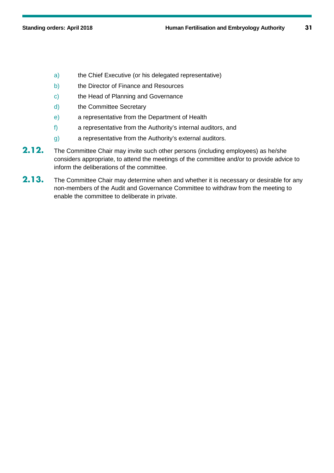- a) the Chief Executive (or his delegated representative)
- b) the Director of Finance and Resources
- c) the Head of Planning and Governance
- d) the Committee Secretary
- e) a representative from the Department of Health
- f) a representative from the Authority's internal auditors, and
- g) a representative from the Authority's external auditors.
- **2.12.** The Committee Chair may invite such other persons (including employees) as he/she considers appropriate, to attend the meetings of the committee and/or to provide advice to inform the deliberations of the committee.
- 2.13. The Committee Chair may determine when and whether it is necessary or desirable for any non-members of the Audit and Governance Committee to withdraw from the meeting to enable the committee to deliberate in private.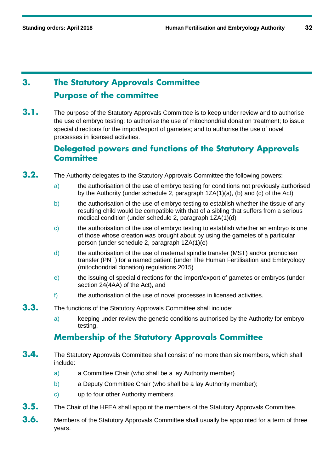# **3. The Statutory Approvals Committee Purpose of the committee**

**3.1.** The purpose of the Statutory Approvals Committee is to keep under review and to authorise the use of embryo testing; to authorise the use of mitochondrial donation treatment; to issue special directions for the import/export of gametes; and to authorise the use of novel processes in licensed activities.

### **Delegated powers and functions of the Statutory Approvals Committee**

- **3.2.** The Authority delegates to the Statutory Approvals Committee the following powers:
	- a) the authorisation of the use of embryo testing for conditions not previously authorised by the Authority (under schedule 2, paragraph 1ZA(1)(a), (b) and (c) of the Act)
	- b) the authorisation of the use of embryo testing to establish whether the tissue of any resulting child would be compatible with that of a sibling that suffers from a serious medical condition (under schedule 2, paragraph 1ZA(1)(d)
	- c) the authorisation of the use of embryo testing to establish whether an embryo is one of those whose creation was brought about by using the gametes of a particular person (under schedule 2, paragraph 1ZA(1)(e)
	- d) the authorisation of the use of maternal spindle transfer (MST) and/or pronuclear transfer (PNT) for a named patient (under The Human Fertilisation and Embryology (mitochondrial donation) regulations 2015)
	- e) the issuing of special directions for the import/export of gametes or embryos (under section 24(4AA) of the Act), and
	- f) the authorisation of the use of novel processes in licensed activities.
- **3.3.** The functions of the Statutory Approvals Committee shall include:
	- a) keeping under review the genetic conditions authorised by the Authority for embryo testing.

## **Membership of the Statutory Approvals Committee**

- **3.4.** The Statutory Approvals Committee shall consist of no more than six members, which shall include:
	- a) a Committee Chair (who shall be a lay Authority member)
	- b) a Deputy Committee Chair (who shall be a lay Authority member);
	- c) up to four other Authority members.
- **3.5.** The Chair of the HFEA shall appoint the members of the Statutory Approvals Committee.
- **3.6.** Members of the Statutory Approvals Committee shall usually be appointed for a term of three years.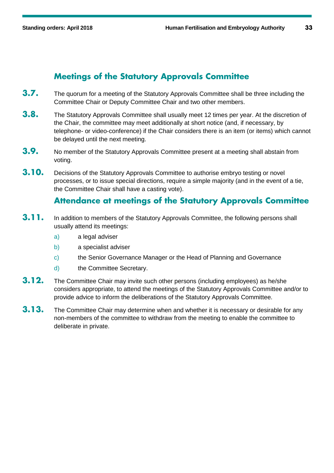# **Meetings of the Statutory Approvals Committee**

- **3.7.** The quorum for a meeting of the Statutory Approvals Committee shall be three including the Committee Chair or Deputy Committee Chair and two other members.
- **3.8.** The Statutory Approvals Committee shall usually meet 12 times per year. At the discretion of the Chair, the committee may meet additionally at short notice (and, if necessary, by telephone- or video-conference) if the Chair considers there is an item (or items) which cannot be delayed until the next meeting.
- **3.9.** No member of the Statutory Approvals Committee present at a meeting shall abstain from voting.
- **3.10.** Decisions of the Statutory Approvals Committee to authorise embryo testing or novel processes, or to issue special directions, require a simple majority (and in the event of a tie, the Committee Chair shall have a casting vote).

### **Attendance at meetings of the Statutory Approvals Committee**

- **3.11.** In addition to members of the Statutory Approvals Committee, the following persons shall usually attend its meetings:
	- a) a legal adviser
	- b) a specialist adviser
	- c) the Senior Governance Manager or the Head of Planning and Governance
	- d) the Committee Secretary.
- **3.12.** The Committee Chair may invite such other persons (including employees) as he/she considers appropriate, to attend the meetings of the Statutory Approvals Committee and/or to provide advice to inform the deliberations of the Statutory Approvals Committee.
- **3.13.** The Committee Chair may determine when and whether it is necessary or desirable for any non-members of the committee to withdraw from the meeting to enable the committee to deliberate in private.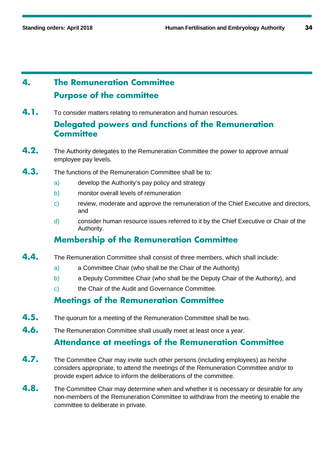# **4. The Remuneration Committee Purpose of the committee**

**4.1.** To consider matters relating to remuneration and human resources.

# **Delegated powers and functions of the Remuneration Committee**

- **4.2.** The Authority delegates to the Remuneration Committee the power to approve annual employee pay levels.
- **4.3.** The functions of the Remuneration Committee shall be to:
	- a) develop the Authority's pay policy and strategy
	- b) monitor overall levels of remuneration
	- c) review, moderate and approve the remuneration of the Chief Executive and directors, and
	- d) consider human resource issues referred to it by the Chief Executive or Chair of the Authority.

# **Membership of the Remuneration Committee**

- **4.4.** The Remuneration Committee shall consist of three members, which shall include:
	- a) a Committee Chair (who shall be the Chair of the Authority)
	- b) a Deputy Committee Chair (who shall be the Deputy Chair of the Authority), and
	- c) the Chair of the Audit and Governance Committee.

## **Meetings of the Remuneration Committee**

- **4.5.** The quorum for a meeting of the Remuneration Committee shall be two.
- **4.6.** The Remuneration Committee shall usually meet at least once a year.

## **Attendance at meetings of the Remuneration Committee**

- **4.7.** The Committee Chair may invite such other persons (including employees) as he/she considers appropriate, to attend the meetings of the Remuneration Committee and/or to provide expert advice to inform the deliberations of the committee.
- **4.8.** The Committee Chair may determine when and whether it is necessary or desirable for any non-members of the Remuneration Committee to withdraw from the meeting to enable the committee to deliberate in private.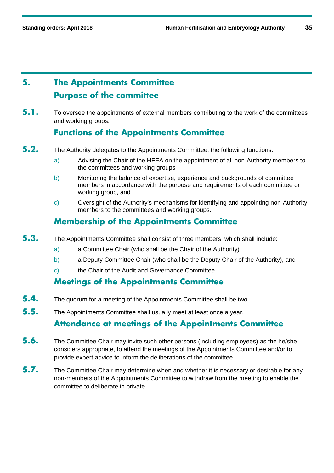# **5. The Appointments Committee Purpose of the committee**

**5.1.** To oversee the appointments of external members contributing to the work of the committees and working groups.

# **Functions of the Appointments Committee**

- **5.2.** The Authority delegates to the Appointments Committee, the following functions:
	- a) Advising the Chair of the HFEA on the appointment of all non-Authority members to the committees and working groups
	- b) Monitoring the balance of expertise, experience and backgrounds of committee members in accordance with the purpose and requirements of each committee or working group, and
	- c) Oversight of the Authority's mechanisms for identifying and appointing non-Authority members to the committees and working groups.

# **Membership of the Appointments Committee**

- **5.3.** The Appointments Committee shall consist of three members, which shall include:
	- a) a Committee Chair (who shall be the Chair of the Authority)
	- b) a Deputy Committee Chair (who shall be the Deputy Chair of the Authority), and
	- c) the Chair of the Audit and Governance Committee.

### **Meetings of the Appointments Committee**

- **5.4.** The quorum for a meeting of the Appointments Committee shall be two.
- **5.5.** The Appointments Committee shall usually meet at least once a year.

## **Attendance at meetings of the Appointments Committee**

- **5.6.** The Committee Chair may invite such other persons (including employees) as the he/she considers appropriate, to attend the meetings of the Appointments Committee and/or to provide expert advice to inform the deliberations of the committee.
- **5.7.** The Committee Chair may determine when and whether it is necessary or desirable for any non-members of the Appointments Committee to withdraw from the meeting to enable the committee to deliberate in private.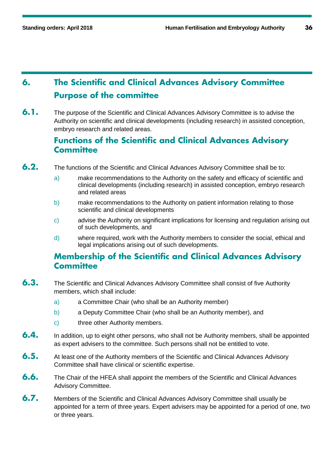# **6. The Scientific and Clinical Advances Advisory Committee Purpose of the committee**

**6.1.** The purpose of the Scientific and Clinical Advances Advisory Committee is to advise the Authority on scientific and clinical developments (including research) in assisted conception, embryo research and related areas.

### **Functions of the Scientific and Clinical Advances Advisory Committee**

- **6.2.** The functions of the Scientific and Clinical Advances Advisory Committee shall be to:
	- a) make recommendations to the Authority on the safety and efficacy of scientific and clinical developments (including research) in assisted conception, embryo research and related areas
	- b) make recommendations to the Authority on patient information relating to those scientific and clinical developments
	- c) advise the Authority on significant implications for licensing and regulation arising out of such developments, and
	- d) where required, work with the Authority members to consider the social, ethical and legal implications arising out of such developments.

### **Membership of the Scientific and Clinical Advances Advisory Committee**

- **6.3.** The Scientific and Clinical Advances Advisory Committee shall consist of five Authority members, which shall include:
	- a) a Committee Chair (who shall be an Authority member)
	- b) a Deputy Committee Chair (who shall be an Authority member), and
	- c) three other Authority members.
- **6.4.** In addition, up to eight other persons, who shall not be Authority members, shall be appointed as expert advisers to the committee. Such persons shall not be entitled to vote.
- **6.5.** At least one of the Authority members of the Scientific and Clinical Advances Advisory Committee shall have clinical or scientific expertise.
- **6.6.** The Chair of the HFEA shall appoint the members of the Scientific and Clinical Advances Advisory Committee.
- **6.7.** Members of the Scientific and Clinical Advances Advisory Committee shall usually be appointed for a term of three years. Expert advisers may be appointed for a period of one, two or three years.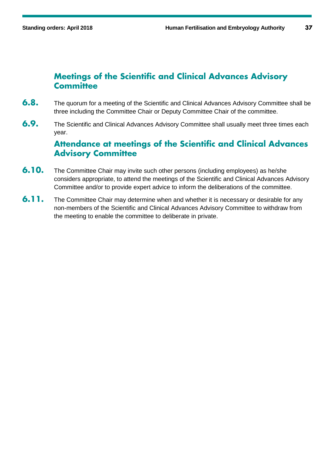### **Meetings of the Scientific and Clinical Advances Advisory Committee**

- **6.8.** The quorum for a meeting of the Scientific and Clinical Advances Advisory Committee shall be three including the Committee Chair or Deputy Committee Chair of the committee.
- **6.9.** The Scientific and Clinical Advances Advisory Committee shall usually meet three times each year.

# **Attendance at meetings of the Scientific and Clinical Advances Advisory Committee**

- **6.10.** The Committee Chair may invite such other persons (including employees) as he/she considers appropriate, to attend the meetings of the Scientific and Clinical Advances Advisory Committee and/or to provide expert advice to inform the deliberations of the committee.
- **6.11.** The Committee Chair may determine when and whether it is necessary or desirable for any non-members of the Scientific and Clinical Advances Advisory Committee to withdraw from the meeting to enable the committee to deliberate in private.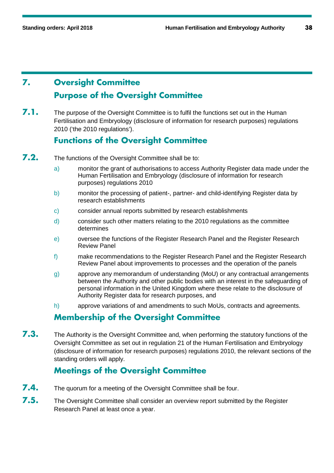# **7. Oversight Committee Purpose of the Oversight Committee**

**7.1.** The purpose of the Oversight Committee is to fulfil the functions set out in the Human Fertilisation and Embryology (disclosure of information for research purposes) regulations 2010 ('the 2010 regulations').

## **Functions of the Oversight Committee**

- **7.2.** The functions of the Oversight Committee shall be to:
	- a) monitor the grant of authorisations to access Authority Register data made under the Human Fertilisation and Embryology (disclosure of information for research purposes) regulations 2010
	- b) monitor the processing of patient-, partner- and child-identifying Register data by research establishments
	- c) consider annual reports submitted by research establishments
	- d) consider such other matters relating to the 2010 regulations as the committee determines
	- e) oversee the functions of the Register Research Panel and the Register Research Review Panel
	- f) make recommendations to the Register Research Panel and the Register Research Review Panel about improvements to processes and the operation of the panels
	- g) approve any memorandum of understanding (MoU) or any contractual arrangements between the Authority and other public bodies with an interest in the safeguarding of personal information in the United Kingdom where these relate to the disclosure of Authority Register data for research purposes, and
	- h) approve variations of and amendments to such MoUs, contracts and agreements.

# **Membership of the Oversight Committee**

**7.3.** The Authority is the Oversight Committee and, when performing the statutory functions of the Oversight Committee as set out in regulation 21 of the Human Fertilisation and Embryology (disclosure of information for research purposes) regulations 2010, the relevant sections of the standing orders will apply.

# **Meetings of the Oversight Committee**

- **7.4.** The quorum for a meeting of the Oversight Committee shall be four.
- **7.5.** The Oversight Committee shall consider an overview report submitted by the Register Research Panel at least once a year.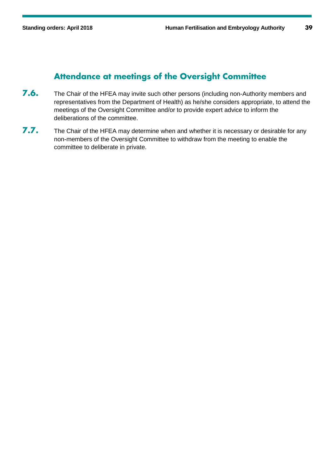### **Attendance at meetings of the Oversight Committee**

- **7.6.** The Chair of the HFEA may invite such other persons (including non-Authority members and representatives from the Department of Health) as he/she considers appropriate, to attend the meetings of the Oversight Committee and/or to provide expert advice to inform the deliberations of the committee.
- **7.7.** The Chair of the HFEA may determine when and whether it is necessary or desirable for any non-members of the Oversight Committee to withdraw from the meeting to enable the committee to deliberate in private.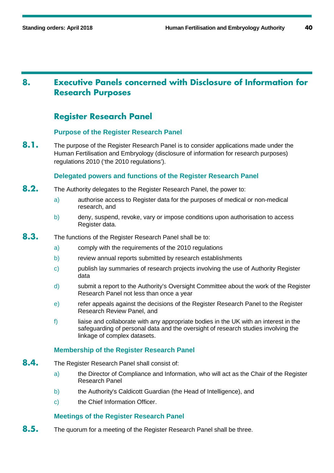# **8. Executive Panels concerned with Disclosure of Information for Research Purposes**

### **Register Research Panel**

### **Purpose of the Register Research Panel**

**8.1.** The purpose of the Register Research Panel is to consider applications made under the Human Fertilisation and Embryology (disclosure of information for research purposes) regulations 2010 ('the 2010 regulations').

### **Delegated powers and functions of the Register Research Panel**

- **8.2.** The Authority delegates to the Register Research Panel, the power to:
	- a) authorise access to Register data for the purposes of medical or non-medical research, and
	- b) deny, suspend, revoke, vary or impose conditions upon authorisation to access Register data.
- **8.3.** The functions of the Register Research Panel shall be to:
	- a) comply with the requirements of the 2010 regulations
	- b) review annual reports submitted by research establishments
	- c) publish lay summaries of research projects involving the use of Authority Register data
	- d) submit a report to the Authority's Oversight Committee about the work of the Register Research Panel not less than once a year
	- e) refer appeals against the decisions of the Register Research Panel to the Register Research Review Panel, and
	- f) liaise and collaborate with any appropriate bodies in the UK with an interest in the safeguarding of personal data and the oversight of research studies involving the linkage of complex datasets.

### **Membership of the Register Research Panel**

- **8.4.** The Register Research Panel shall consist of:
	- a) the Director of Compliance and Information, who will act as the Chair of the Register Research Panel
	- b) the Authority's Caldicott Guardian (the Head of Intelligence), and
	- c) the Chief Information Officer.

### **Meetings of the Register Research Panel**

**8.5.** The quorum for a meeting of the Register Research Panel shall be three.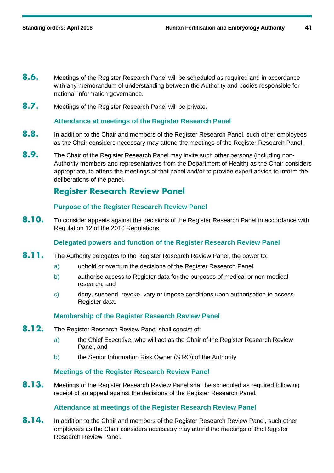- **8.6.** Meetings of the Register Research Panel will be scheduled as required and in accordance with any memorandum of understanding between the Authority and bodies responsible for national information governance.
- **8.7.** Meetings of the Register Research Panel will be private.

### **Attendance at meetings of the Register Research Panel**

- **8.8.** In addition to the Chair and members of the Register Research Panel, such other employees as the Chair considers necessary may attend the meetings of the Register Research Panel.
- **8.9.** The Chair of the Register Research Panel may invite such other persons (including non-Authority members and representatives from the Department of Health) as the Chair considers appropriate, to attend the meetings of that panel and/or to provide expert advice to inform the deliberations of the panel.

### **Register Research Review Panel**

### **Purpose of the Register Research Review Panel**

8.10. To consider appeals against the decisions of the Register Research Panel in accordance with Regulation 12 of the 2010 Regulations.

### **Delegated powers and function of the Register Research Review Panel**

- **8.11.** The Authority delegates to the Register Research Review Panel, the power to:
	- a) uphold or overturn the decisions of the Register Research Panel
	- b) authorise access to Register data for the purposes of medical or non-medical research, and
	- c) deny, suspend, revoke, vary or impose conditions upon authorisation to access Register data.

#### **Membership of the Register Research Review Panel**

- **8.12.** The Register Research Review Panel shall consist of:
	- a) the Chief Executive, who will act as the Chair of the Register Research Review Panel, and
	- b) the Senior Information Risk Owner (SIRO) of the Authority.

### **Meetings of the Register Research Review Panel**

**8.13.** Meetings of the Register Research Review Panel shall be scheduled as required following receipt of an appeal against the decisions of the Register Research Panel.

#### **Attendance at meetings of the Register Research Review Panel**

8.14. In addition to the Chair and members of the Register Research Review Panel, such other employees as the Chair considers necessary may attend the meetings of the Register Research Review Panel.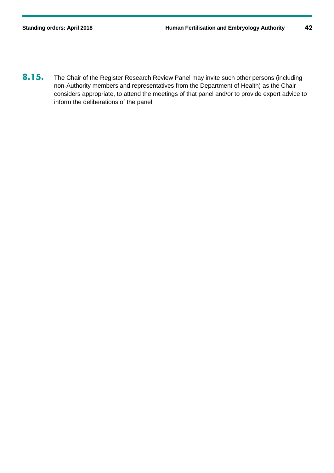8.15. The Chair of the Register Research Review Panel may invite such other persons (including non-Authority members and representatives from the Department of Health) as the Chair considers appropriate, to attend the meetings of that panel and/or to provide expert advice to inform the deliberations of the panel.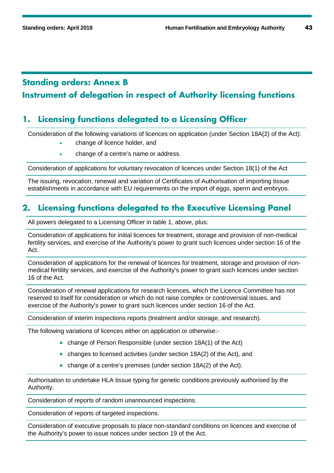# **Standing orders: Annex B Instrument of delegation in respect of Authority licensing functions**

## **1. Licensing functions delegated to a Licensing Officer**

Consideration of the following variations of licences on application (under Section 18A(2) of the Act):

- change of licence holder, and
- change of a centre's name or address.

Consideration of applications for voluntary revocation of licences under Section 18(1) of the Act

The issuing, revocation, renewal and variation of Certificates of Authorisation of importing tissue establishments in accordance with EU requirements on the import of eggs, sperm and embryos.

## **2. Licensing functions delegated to the Executive Licensing Panel**

All powers delegated to a Licensing Officer in table 1, above, plus:

Consideration of applications for initial licences for treatment, storage and provision of non-medical fertility services, and exercise of the Authority's power to grant such licences under section 16 of the Act.

Consideration of applications for the renewal of licences for treatment, storage and provision of nonmedical fertility services, and exercise of the Authority's power to grant such licences under section 16 of the Act.

Consideration of renewal applications for research licences, which the Licence Committee has not reserved to itself for consideration or which do not raise complex or controversial issues, and exercise of the Authority's power to grant such licences under section 16 of the Act.

Consideration of interim inspections reports (treatment and/or storage, and research).

The following variations of licences either on application or otherwise:-

- change of Person Responsible (under section 18A(1) of the Act)
- changes to licensed activities (under section 18A(2) of the Act), and
- change of a centre's premises (under section 18A(2) of the Act).

Authorisation to undertake HLA tissue typing for genetic conditions previously authorised by the Authority.

Consideration of reports of random unannounced inspections.

Consideration of reports of targeted inspections.

Consideration of executive proposals to place non-standard conditions on licences and exercise of the Authority's power to issue notices under section 19 of the Act.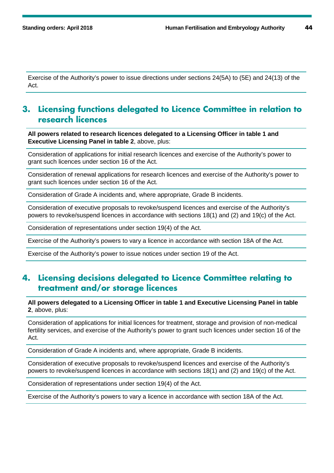Exercise of the Authority's power to issue directions under sections 24(5A) to (5E) and 24(13) of the Act.

### **3. Licensing functions delegated to Licence Committee in relation to research licences**

**All powers related to research licences delegated to a Licensing Officer in table 1 and Executive Licensing Panel in table 2**, above, plus:

Consideration of applications for initial research licences and exercise of the Authority's power to grant such licences under section 16 of the Act.

Consideration of renewal applications for research licences and exercise of the Authority's power to grant such licences under section 16 of the Act.

Consideration of Grade A incidents and, where appropriate, Grade B incidents.

Consideration of executive proposals to revoke/suspend licences and exercise of the Authority's powers to revoke/suspend licences in accordance with sections 18(1) and (2) and 19(c) of the Act.

Consideration of representations under section 19(4) of the Act.

Exercise of the Authority's powers to vary a licence in accordance with section 18A of the Act.

Exercise of the Authority's power to issue notices under section 19 of the Act.

## **4. Licensing decisions delegated to Licence Committee relating to treatment and/or storage licences**

**All powers delegated to a Licensing Officer in table 1 and Executive Licensing Panel in table 2**, above, plus:

Consideration of applications for initial licences for treatment, storage and provision of non-medical fertility services, and exercise of the Authority's power to grant such licences under section 16 of the Act.

Consideration of Grade A incidents and, where appropriate, Grade B incidents.

Consideration of executive proposals to revoke/suspend licences and exercise of the Authority's powers to revoke/suspend licences in accordance with sections 18(1) and (2) and 19(c) of the Act.

Consideration of representations under section 19(4) of the Act.

Exercise of the Authority's powers to vary a licence in accordance with section 18A of the Act.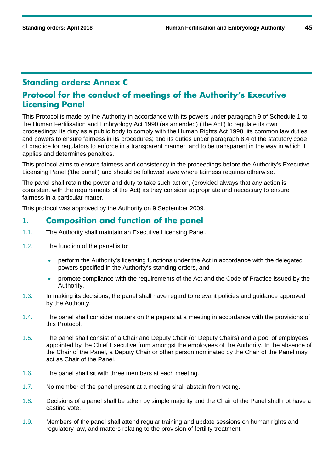## **Standing orders: Annex C**

### **Protocol for the conduct of meetings of the Authority's Executive Licensing Panel**

This Protocol is made by the Authority in accordance with its powers under paragraph 9 of Schedule 1 to the Human Fertilisation and Embryology Act 1990 (as amended) ('the Act') to regulate its own proceedings; its duty as a public body to comply with the Human Rights Act 1998; its common law duties and powers to ensure fairness in its procedures; and its duties under paragraph 8.4 of the statutory code of practice for regulators to enforce in a transparent manner, and to be transparent in the way in which it applies and determines penalties.

This protocol aims to ensure fairness and consistency in the proceedings before the Authority's Executive Licensing Panel ('the panel') and should be followed save where fairness requires otherwise.

The panel shall retain the power and duty to take such action, (provided always that any action is consistent with the requirements of the Act) as they consider appropriate and necessary to ensure fairness in a particular matter.

This protocol was approved by the Authority on 9 September 2009.

### **1. Composition and function of the panel**

- 1.1. The Authority shall maintain an Executive Licensing Panel.
- 1.2. The function of the panel is to:
	- perform the Authority's licensing functions under the Act in accordance with the delegated powers specified in the Authority's standing orders, and
	- promote compliance with the requirements of the Act and the Code of Practice issued by the Authority.
- 1.3. In making its decisions, the panel shall have regard to relevant policies and guidance approved by the Authority.
- 1.4. The panel shall consider matters on the papers at a meeting in accordance with the provisions of this Protocol.
- 1.5. The panel shall consist of a Chair and Deputy Chair (or Deputy Chairs) and a pool of employees, appointed by the Chief Executive from amongst the employees of the Authority. In the absence of the Chair of the Panel, a Deputy Chair or other person nominated by the Chair of the Panel may act as Chair of the Panel.
- 1.6. The panel shall sit with three members at each meeting.
- 1.7. No member of the panel present at a meeting shall abstain from voting.
- 1.8. Decisions of a panel shall be taken by simple majority and the Chair of the Panel shall not have a casting vote.
- 1.9. Members of the panel shall attend regular training and update sessions on human rights and regulatory law, and matters relating to the provision of fertility treatment.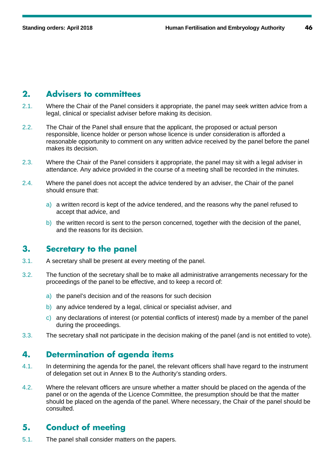### **2. Advisers to committees**

- 2.1. Where the Chair of the Panel considers it appropriate, the panel may seek written advice from a legal, clinical or specialist adviser before making its decision.
- 2.2. The Chair of the Panel shall ensure that the applicant, the proposed or actual person responsible, licence holder or person whose licence is under consideration is afforded a reasonable opportunity to comment on any written advice received by the panel before the panel makes its decision.
- 2.3. Where the Chair of the Panel considers it appropriate, the panel may sit with a legal adviser in attendance. Any advice provided in the course of a meeting shall be recorded in the minutes.
- 2.4. Where the panel does not accept the advice tendered by an adviser, the Chair of the panel should ensure that:
	- a) a written record is kept of the advice tendered, and the reasons why the panel refused to accept that advice, and
	- b) the written record is sent to the person concerned, together with the decision of the panel, and the reasons for its decision.

### **3. Secretary to the panel**

- 3.1. A secretary shall be present at every meeting of the panel.
- 3.2. The function of the secretary shall be to make all administrative arrangements necessary for the proceedings of the panel to be effective, and to keep a record of:
	- a) the panel's decision and of the reasons for such decision
	- b) any advice tendered by a legal, clinical or specialist adviser, and
	- c) any declarations of interest (or potential conflicts of interest) made by a member of the panel during the proceedings.
- 3.3. The secretary shall not participate in the decision making of the panel (and is not entitled to vote).

## **4. Determination of agenda items**

- 4.1. In determining the agenda for the panel, the relevant officers shall have regard to the instrument of delegation set out in Annex B to the Authority's standing orders.
- 4.2. Where the relevant officers are unsure whether a matter should be placed on the agenda of the panel or on the agenda of the Licence Committee, the presumption should be that the matter should be placed on the agenda of the panel. Where necessary, the Chair of the panel should be consulted.

### **5. Conduct of meeting**

5.1. The panel shall consider matters on the papers.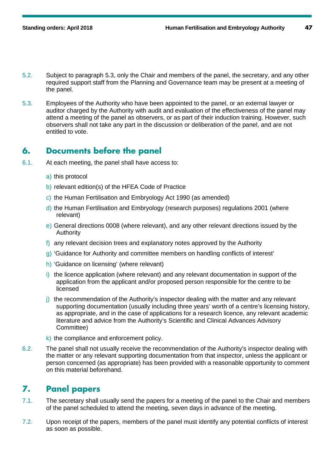- 5.2. Subject to paragraph 5.3, only the Chair and members of the panel, the secretary, and any other required support staff from the Planning and Governance team may be present at a meeting of the panel.
- 5.3. Employees of the Authority who have been appointed to the panel, or an external lawyer or auditor charged by the Authority with audit and evaluation of the effectiveness of the panel may attend a meeting of the panel as observers, or as part of their induction training. However, such observers shall not take any part in the discussion or deliberation of the panel, and are not entitled to vote.

### **6. Documents before the panel**

- 6.1. At each meeting, the panel shall have access to:
	- a) this protocol
	- b) relevant edition(s) of the HFEA Code of Practice
	- c) the Human Fertilisation and Embryology Act 1990 (as amended)
	- d) the Human Fertilisation and Embryology (research purposes) regulations 2001 (where relevant)
	- e) General directions 0008 (where relevant), and any other relevant directions issued by the Authority
	- f) any relevant decision trees and explanatory notes approved by the Authority
	- g) 'Guidance for Authority and committee members on handling conflicts of interest'
	- h) 'Guidance on licensing' (where relevant)
	- i) the licence application (where relevant) and any relevant documentation in support of the application from the applicant and/or proposed person responsible for the centre to be licensed
	- j) the recommendation of the Authority's inspector dealing with the matter and any relevant supporting documentation (usually including three years' worth of a centre's licensing history, as appropriate, and in the case of applications for a research licence, any relevant academic literature and advice from the Authority's Scientific and Clinical Advances Advisory Committee)
	- k) the compliance and enforcement policy.
- 6.2. The panel shall not usually receive the recommendation of the Authority's inspector dealing with the matter or any relevant supporting documentation from that inspector, unless the applicant or person concerned (as appropriate) has been provided with a reasonable opportunity to comment on this material beforehand.

### **7. Panel papers**

- 7.1. The secretary shall usually send the papers for a meeting of the panel to the Chair and members of the panel scheduled to attend the meeting, seven days in advance of the meeting.
- 7.2. Upon receipt of the papers, members of the panel must identify any potential conflicts of interest as soon as possible.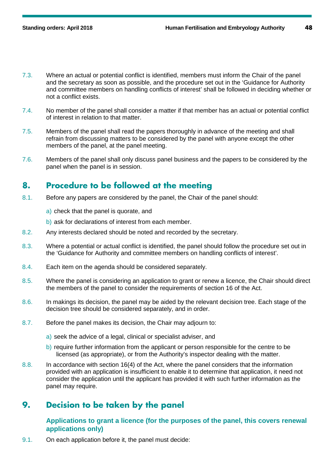- 7.3. Where an actual or potential conflict is identified, members must inform the Chair of the panel and the secretary as soon as possible, and the procedure set out in the 'Guidance for Authority and committee members on handling conflicts of interest' shall be followed in deciding whether or not a conflict exists.
- 7.4. No member of the panel shall consider a matter if that member has an actual or potential conflict of interest in relation to that matter.
- 7.5. Members of the panel shall read the papers thoroughly in advance of the meeting and shall refrain from discussing matters to be considered by the panel with anyone except the other members of the panel, at the panel meeting.
- 7.6. Members of the panel shall only discuss panel business and the papers to be considered by the panel when the panel is in session.

## **8. Procedure to be followed at the meeting**

- 8.1. Before any papers are considered by the panel, the Chair of the panel should:
	- a) check that the panel is quorate, and
	- b) ask for declarations of interest from each member.
- 8.2. Any interests declared should be noted and recorded by the secretary.
- 8.3. Where a potential or actual conflict is identified, the panel should follow the procedure set out in the 'Guidance for Authority and committee members on handling conflicts of interest'.
- 8.4. Each item on the agenda should be considered separately.
- 8.5. Where the panel is considering an application to grant or renew a licence, the Chair should direct the members of the panel to consider the requirements of section 16 of the Act.
- 8.6. In makings its decision, the panel may be aided by the relevant decision tree. Each stage of the decision tree should be considered separately, and in order.
- 8.7. Before the panel makes its decision, the Chair may adjourn to:
	- a) seek the advice of a legal, clinical or specialist adviser, and
	- b) require further information from the applicant or person responsible for the centre to be licensed (as appropriate), or from the Authority's inspector dealing with the matter.
- 8.8. In accordance with section 16(4) of the Act, where the panel considers that the information provided with an application is insufficient to enable it to determine that application, it need not consider the application until the applicant has provided it with such further information as the panel may require.

# **9. Decision to be taken by the panel**

### **Applications to grant a licence (for the purposes of the panel, this covers renewal applications only)**

9.1. On each application before it, the panel must decide: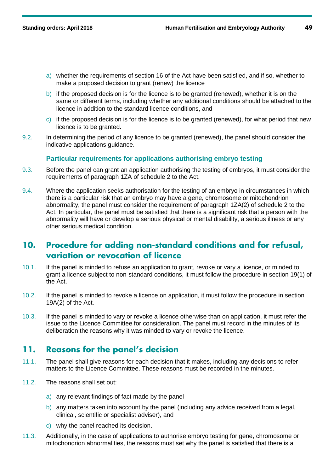- a) whether the requirements of section 16 of the Act have been satisfied, and if so, whether to make a proposed decision to grant (renew) the licence
- b) if the proposed decision is for the licence is to be granted (renewed), whether it is on the same or different terms, including whether any additional conditions should be attached to the licence in addition to the standard licence conditions, and
- c) if the proposed decision is for the licence is to be granted (renewed), for what period that new licence is to be granted.
- 9.2. In determining the period of any licence to be granted (renewed), the panel should consider the indicative applications guidance.

#### **Particular requirements for applications authorising embryo testing**

- 9.3. Before the panel can grant an application authorising the testing of embryos, it must consider the requirements of paragraph 1ZA of schedule 2 to the Act.
- 9.4. Where the application seeks authorisation for the testing of an embryo in circumstances in which there is a particular risk that an embryo may have a gene, chromosome or mitochondrion abnormality, the panel must consider the requirement of paragraph 1ZA(2) of schedule 2 to the Act. In particular, the panel must be satisfied that there is a significant risk that a person with the abnormality will have or develop a serious physical or mental disability, a serious illness or any other serious medical condition.

### **10. Procedure for adding non-standard conditions and for refusal, variation or revocation of licence**

- 10.1. If the panel is minded to refuse an application to grant, revoke or vary a licence, or minded to grant a licence subject to non-standard conditions, it must follow the procedure in section 19(1) of the Act.
- 10.2. If the panel is minded to revoke a licence on application, it must follow the procedure in section 19A(2) of the Act.
- 10.3. If the panel is minded to vary or revoke a licence otherwise than on application, it must refer the issue to the Licence Committee for consideration. The panel must record in the minutes of its deliberation the reasons why it was minded to vary or revoke the licence.

### **11. Reasons for the panel's decision**

- 11.1. The panel shall give reasons for each decision that it makes, including any decisions to refer matters to the Licence Committee. These reasons must be recorded in the minutes.
- 11.2. The reasons shall set out:
	- a) any relevant findings of fact made by the panel
	- b) any matters taken into account by the panel (including any advice received from a legal, clinical, scientific or specialist adviser), and
	- c) why the panel reached its decision.
- 11.3. Additionally, in the case of applications to authorise embryo testing for gene, chromosome or mitochondrion abnormalities, the reasons must set why the panel is satisfied that there is a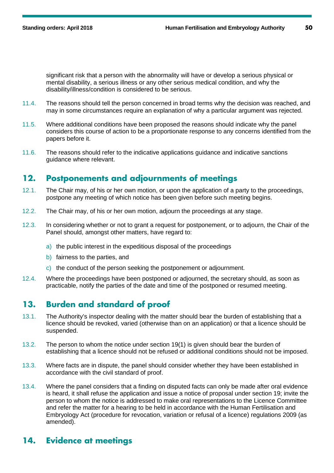significant risk that a person with the abnormality will have or develop a serious physical or mental disability, a serious illness or any other serious medical condition, and why the disability/illness/condition is considered to be serious.

- 11.4. The reasons should tell the person concerned in broad terms why the decision was reached, and may in some circumstances require an explanation of why a particular argument was rejected.
- 11.5. Where additional conditions have been proposed the reasons should indicate why the panel considers this course of action to be a proportionate response to any concerns identified from the papers before it.
- 11.6. The reasons should refer to the indicative applications guidance and indicative sanctions guidance where relevant.

### **12. Postponements and adjournments of meetings**

- 12.1. The Chair may, of his or her own motion, or upon the application of a party to the proceedings, postpone any meeting of which notice has been given before such meeting begins.
- 12.2. The Chair may, of his or her own motion, adjourn the proceedings at any stage.
- 12.3. In considering whether or not to grant a request for postponement, or to adjourn, the Chair of the Panel should, amongst other matters, have regard to:
	- a) the public interest in the expeditious disposal of the proceedings
	- b) fairness to the parties, and
	- c) the conduct of the person seeking the postponement or adjournment.
- 12.4. Where the proceedings have been postponed or adjourned, the secretary should, as soon as practicable, notify the parties of the date and time of the postponed or resumed meeting.

## **13. Burden and standard of proof**

- 13.1. The Authority's inspector dealing with the matter should bear the burden of establishing that a licence should be revoked, varied (otherwise than on an application) or that a licence should be suspended.
- 13.2. The person to whom the notice under section 19(1) is given should bear the burden of establishing that a licence should not be refused or additional conditions should not be imposed.
- 13.3. Where facts are in dispute, the panel should consider whether they have been established in accordance with the civil standard of proof.
- 13.4. Where the panel considers that a finding on disputed facts can only be made after oral evidence is heard, it shall refuse the application and issue a notice of proposal under section 19; invite the person to whom the notice is addressed to make oral representations to the Licence Committee and refer the matter for a hearing to be held in accordance with the Human Fertilisation and Embryology Act (procedure for revocation, variation or refusal of a licence) regulations 2009 (as amended).

## **14. Evidence at meetings**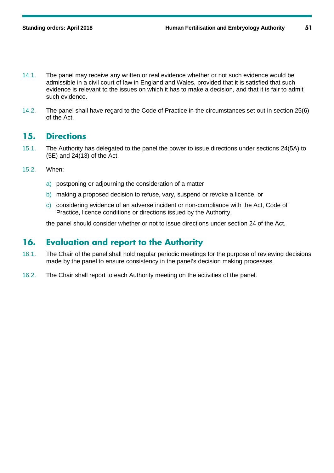- 14.1. The panel may receive any written or real evidence whether or not such evidence would be admissible in a civil court of law in England and Wales, provided that it is satisfied that such evidence is relevant to the issues on which it has to make a decision, and that it is fair to admit such evidence.
- 14.2. The panel shall have regard to the Code of Practice in the circumstances set out in section 25(6) of the Act.

### **15. Directions**

- 15.1. The Authority has delegated to the panel the power to issue directions under sections 24(5A) to (5E) and 24(13) of the Act.
- 15.2. When:
	- a) postponing or adjourning the consideration of a matter
	- b) making a proposed decision to refuse, vary, suspend or revoke a licence, or
	- c) considering evidence of an adverse incident or non-compliance with the Act, Code of Practice, licence conditions or directions issued by the Authority,

the panel should consider whether or not to issue directions under section 24 of the Act.

## **16. Evaluation and report to the Authority**

- 16.1. The Chair of the panel shall hold regular periodic meetings for the purpose of reviewing decisions made by the panel to ensure consistency in the panel's decision making processes.
- 16.2. The Chair shall report to each Authority meeting on the activities of the panel.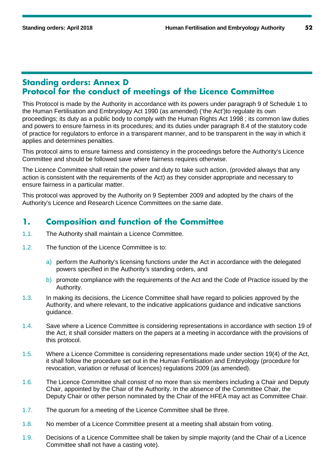### **Standing orders: Annex D Protocol for the conduct of meetings of the Licence Committee**

This Protocol is made by the Authority in accordance with its powers under paragraph 9 of Schedule 1 to the Human Fertilisation and Embryology Act 1990 (as amended) ('the Act')to regulate its own proceedings; its duty as a public body to comply with the Human Rights Act 1998 ; its common law duties and powers to ensure fairness in its procedures; and its duties under paragraph 8.4 of the statutory code of practice for regulators to enforce in a transparent manner, and to be transparent in the way in which it applies and determines penalties.

This protocol aims to ensure fairness and consistency in the proceedings before the Authority's Licence Committee and should be followed save where fairness requires otherwise.

The Licence Committee shall retain the power and duty to take such action, (provided always that any action is consistent with the requirements of the Act) as they consider appropriate and necessary to ensure fairness in a particular matter.

This protocol was approved by the Authority on 9 September 2009 and adopted by the chairs of the Authority's Licence and Research Licence Committees on the same date.

### **1. Composition and function of the Committee**

- 1.1. The Authority shall maintain a Licence Committee.
- 1.2. The function of the Licence Committee is to:
	- a) perform the Authority's licensing functions under the Act in accordance with the delegated powers specified in the Authority's standing orders, and
	- b) promote compliance with the requirements of the Act and the Code of Practice issued by the Authority.
- 1.3. In making its decisions, the Licence Committee shall have regard to policies approved by the Authority, and where relevant, to the indicative applications guidance and indicative sanctions guidance.
- 1.4. Save where a Licence Committee is considering representations in accordance with section 19 of the Act, it shall consider matters on the papers at a meeting in accordance with the provisions of this protocol.
- 1.5. Where a Licence Committee is considering representations made under section 19(4) of the Act, it shall follow the procedure set out in the Human Fertilisation and Embryology (procedure for revocation, variation or refusal of licences) regulations 2009 (as amended).
- 1.6. The Licence Committee shall consist of no more than six members including a Chair and Deputy Chair, appointed by the Chair of the Authority. In the absence of the Committee Chair, the Deputy Chair or other person nominated by the Chair of the HFEA may act as Committee Chair.
- 1.7. The quorum for a meeting of the Licence Committee shall be three.
- 1.8. No member of a Licence Committee present at a meeting shall abstain from voting.
- 1.9. Decisions of a Licence Committee shall be taken by simple majority (and the Chair of a Licence Committee shall not have a casting vote).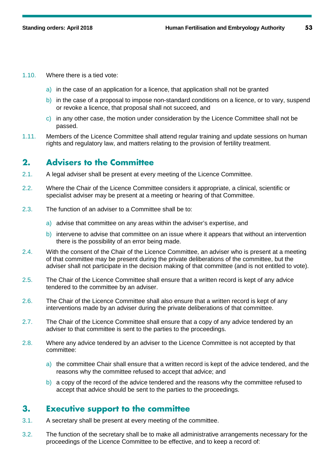- 1.10. Where there is a tied vote:
	- a) in the case of an application for a licence, that application shall not be granted
	- b) in the case of a proposal to impose non-standard conditions on a licence, or to vary, suspend or revoke a licence, that proposal shall not succeed, and
	- $\vert c \rangle$  in any other case, the motion under consideration by the Licence Committee shall not be passed.
- 1.11. Members of the Licence Committee shall attend regular training and update sessions on human rights and regulatory law, and matters relating to the provision of fertility treatment.

### **2. Advisers to the Committee**

- 2.1. A legal adviser shall be present at every meeting of the Licence Committee.
- 2.2. Where the Chair of the Licence Committee considers it appropriate, a clinical, scientific or specialist adviser may be present at a meeting or hearing of that Committee.
- 2.3. The function of an adviser to a Committee shall be to:
	- a) advise that committee on any areas within the adviser's expertise, and
	- b) intervene to advise that committee on an issue where it appears that without an intervention there is the possibility of an error being made.
- 2.4. With the consent of the Chair of the Licence Committee, an adviser who is present at a meeting of that committee may be present during the private deliberations of the committee, but the adviser shall not participate in the decision making of that committee (and is not entitled to vote).
- 2.5. The Chair of the Licence Committee shall ensure that a written record is kept of any advice tendered to the committee by an adviser.
- 2.6. The Chair of the Licence Committee shall also ensure that a written record is kept of any interventions made by an adviser during the private deliberations of that committee.
- 2.7. The Chair of the Licence Committee shall ensure that a copy of any advice tendered by an adviser to that committee is sent to the parties to the proceedings.
- 2.8. Where any advice tendered by an adviser to the Licence Committee is not accepted by that committee:
	- a) the committee Chair shall ensure that a written record is kept of the advice tendered, and the reasons why the committee refused to accept that advice; and
	- b) a copy of the record of the advice tendered and the reasons why the committee refused to accept that advice should be sent to the parties to the proceedings.

### **3. Executive support to the committee**

- 3.1. A secretary shall be present at every meeting of the committee.
- 3.2. The function of the secretary shall be to make all administrative arrangements necessary for the proceedings of the Licence Committee to be effective, and to keep a record of: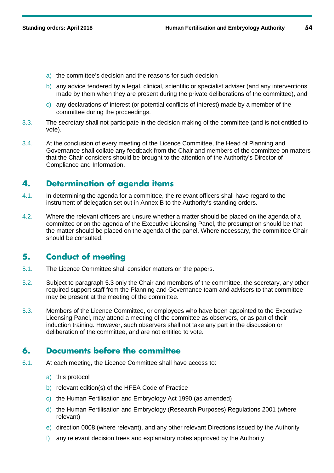- a) the committee's decision and the reasons for such decision
- b) any advice tendered by a legal, clinical, scientific or specialist adviser (and any interventions made by them when they are present during the private deliberations of the committee), and
- c) any declarations of interest (or potential conflicts of interest) made by a member of the committee during the proceedings.
- 3.3. The secretary shall not participate in the decision making of the committee (and is not entitled to vote).
- 3.4. At the conclusion of every meeting of the Licence Committee, the Head of Planning and Governance shall collate any feedback from the Chair and members of the committee on matters that the Chair considers should be brought to the attention of the Authority's Director of Compliance and Information.

# **4. Determination of agenda items**

- 4.1. In determining the agenda for a committee, the relevant officers shall have regard to the instrument of delegation set out in Annex B to the Authority's standing orders.
- 4.2. Where the relevant officers are unsure whether a matter should be placed on the agenda of a committee or on the agenda of the Executive Licensing Panel, the presumption should be that the matter should be placed on the agenda of the panel. Where necessary, the committee Chair should be consulted.

## **5. Conduct of meeting**

- 5.1. The Licence Committee shall consider matters on the papers.
- 5.2. Subject to paragraph 5.3 only the Chair and members of the committee, the secretary, any other required support staff from the Planning and Governance team and advisers to that committee may be present at the meeting of the committee.
- 5.3. Members of the Licence Committee, or employees who have been appointed to the Executive Licensing Panel, may attend a meeting of the committee as observers, or as part of their induction training. However, such observers shall not take any part in the discussion or deliberation of the committee, and are not entitled to vote.

## **6. Documents before the committee**

- 6.1. At each meeting, the Licence Committee shall have access to:
	- a) this protocol
	- b) relevant edition(s) of the HFEA Code of Practice
	- c) the Human Fertilisation and Embryology Act 1990 (as amended)
	- d) the Human Fertilisation and Embryology (Research Purposes) Regulations 2001 (where relevant)
	- e) direction 0008 (where relevant), and any other relevant Directions issued by the Authority
	- f) any relevant decision trees and explanatory notes approved by the Authority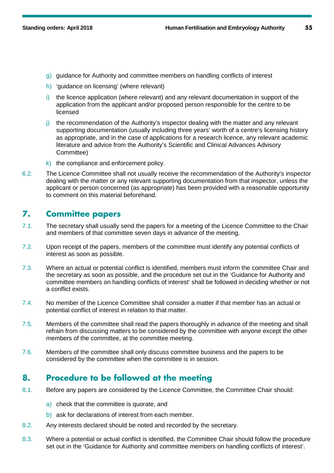- g) guidance for Authority and committee members on handling conflicts of interest
- h) 'quidance on licensing' (where relevant)
- i) the licence application (where relevant) and any relevant documentation in support of the application from the applicant and/or proposed person responsible for the centre to be licensed
- j) the recommendation of the Authority's inspector dealing with the matter and any relevant supporting documentation (usually including three years' worth of a centre's licensing history as appropriate, and in the case of applications for a research licence, any relevant academic literature and advice from the Authority's Scientific and Clinical Advances Advisory Committee)
- k) the compliance and enforcement policy.
- 6.2. The Licence Committee shall not usually receive the recommendation of the Authority's inspector dealing with the matter or any relevant supporting documentation from that inspector, unless the applicant or person concerned (as appropriate) has been provided with a reasonable opportunity to comment on this material beforehand.

### **7. Committee papers**

- 7.1. The secretary shall usually send the papers for a meeting of the Licence Committee to the Chair and members of that committee seven days in advance of the meeting.
- 7.2. Upon receipt of the papers, members of the committee must identify any potential conflicts of interest as soon as possible.
- 7.3. Where an actual or potential conflict is identified, members must inform the committee Chair and the secretary as soon as possible, and the procedure set out in the 'Guidance for Authority and committee members on handling conflicts of interest' shall be followed in deciding whether or not a conflict exists.
- 7.4. No member of the Licence Committee shall consider a matter if that member has an actual or potential conflict of interest in relation to that matter.
- 7.5. Members of the committee shall read the papers thoroughly in advance of the meeting and shall refrain from discussing matters to be considered by the committee with anyone except the other members of the committee, at the committee meeting.
- 7.6. Members of the committee shall only discuss committee business and the papers to be considered by the committee when the committee is in session.

## **8. Procedure to be followed at the meeting**

- 8.1. Before any papers are considered by the Licence Committee, the Committee Chair should:
	- a) check that the committee is quorate, and
	- b) ask for declarations of interest from each member.
- 8.2. Any interests declared should be noted and recorded by the secretary.
- 8.3. Where a potential or actual conflict is identified, the Committee Chair should follow the procedure set out in the 'Guidance for Authority and committee members on handling conflicts of interest'.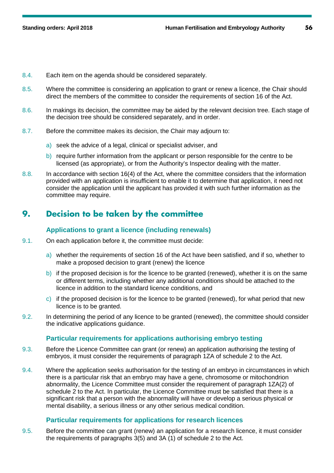- 8.4. Each item on the agenda should be considered separately.
- 8.5. Where the committee is considering an application to grant or renew a licence, the Chair should direct the members of the committee to consider the requirements of section 16 of the Act.
- 8.6. In makings its decision, the committee may be aided by the relevant decision tree. Each stage of the decision tree should be considered separately, and in order.
- 8.7. Before the committee makes its decision, the Chair may adjourn to:
	- a) seek the advice of a legal, clinical or specialist adviser, and
	- b) require further information from the applicant or person responsible for the centre to be licensed (as appropriate), or from the Authority's Inspector dealing with the matter.
- 8.8. In accordance with section 16(4) of the Act, where the committee considers that the information provided with an application is insufficient to enable it to determine that application, it need not consider the application until the applicant has provided it with such further information as the committee may require.

# **9. Decision to be taken by the committee**

### **Applications to grant a licence (including renewals)**

- 9.1. On each application before it, the committee must decide:
	- a) whether the requirements of section 16 of the Act have been satisfied, and if so, whether to make a proposed decision to grant (renew) the licence
	- b) if the proposed decision is for the licence to be granted (renewed), whether it is on the same or different terms, including whether any additional conditions should be attached to the licence in addition to the standard licence conditions, and
	- c) if the proposed decision is for the licence to be granted (renewed), for what period that new licence is to be granted.
- 9.2. In determining the period of any licence to be granted (renewed), the committee should consider the indicative applications guidance.

### **Particular requirements for applications authorising embryo testing**

- 9.3. Before the Licence Committee can grant (or renew) an application authorising the testing of embryos, it must consider the requirements of paragraph 1ZA of schedule 2 to the Act.
- 9.4. Where the application seeks authorisation for the testing of an embryo in circumstances in which there is a particular risk that an embryo may have a gene, chromosome or mitochondrion abnormality, the Licence Committee must consider the requirement of paragraph 1ZA(2) of schedule 2 to the Act. In particular, the Licence Committee must be satisfied that there is a significant risk that a person with the abnormality will have or develop a serious physical or mental disability, a serious illness or any other serious medical condition.

### **Particular requirements for applications for research licences**

9.5. Before the committee can grant (renew) an application for a research licence, it must consider the requirements of paragraphs 3(5) and 3A (1) of schedule 2 to the Act.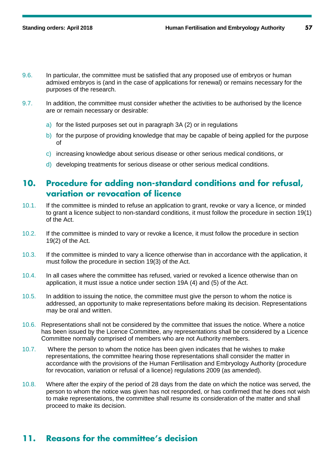- 9.6. In particular, the committee must be satisfied that any proposed use of embryos or human admixed embryos is (and in the case of applications for renewal) or remains necessary for the purposes of the research.
- 9.7. In addition, the committee must consider whether the activities to be authorised by the licence are or remain necessary or desirable:
	- a) for the listed purposes set out in paragraph 3A (2) or in regulations
	- b) for the purpose of providing knowledge that may be capable of being applied for the purpose of
	- c) increasing knowledge about serious disease or other serious medical conditions, or
	- d) developing treatments for serious disease or other serious medical conditions.

### **10. Procedure for adding non-standard conditions and for refusal, variation or revocation of licence**

- 10.1. If the committee is minded to refuse an application to grant, revoke or vary a licence, or minded to grant a licence subject to non-standard conditions, it must follow the procedure in section 19(1) of the Act.
- 10.2. If the committee is minded to vary or revoke a licence, it must follow the procedure in section 19(2) of the Act.
- 10.3. If the committee is minded to vary a licence otherwise than in accordance with the application, it must follow the procedure in section 19(3) of the Act.
- 10.4. In all cases where the committee has refused, varied or revoked a licence otherwise than on application, it must issue a notice under section 19A (4) and (5) of the Act.
- 10.5. In addition to issuing the notice, the committee must give the person to whom the notice is addressed, an opportunity to make representations before making its decision. Representations may be oral and written.
- 10.6. Representations shall not be considered by the committee that issues the notice. Where a notice has been issued by the Licence Committee, any representations shall be considered by a Licence Committee normally comprised of members who are not Authority members.
- 10.7. Where the person to whom the notice has been given indicates that he wishes to make representations, the committee hearing those representations shall consider the matter in accordance with the provisions of the Human Fertilisation and Embryology Authority (procedure for revocation, variation or refusal of a licence) regulations 2009 (as amended).
- 10.8. Where after the expiry of the period of 28 days from the date on which the notice was served, the person to whom the notice was given has not responded, or has confirmed that he does not wish to make representations, the committee shall resume its consideration of the matter and shall proceed to make its decision.

## **11. Reasons for the committee's decision**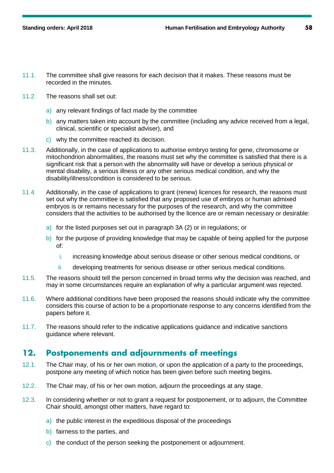- 11.1. The committee shall give reasons for each decision that it makes. These reasons must be recorded in the minutes.
- 11.2. The reasons shall set out:
	- a) any relevant findings of fact made by the committee
	- b) any matters taken into account by the committee (including any advice received from a legal, clinical, scientific or specialist adviser), and
	- c) why the committee reached its decision.
- 11.3. Additionally, in the case of applications to authorise embryo testing for gene, chromosome or mitochondrion abnormalities, the reasons must set why the committee is satisfied that there is a significant risk that a person with the abnormality will have or develop a serious physical or mental disability, a serious illness or any other serious medical condition, and why the disability/illness/condition is considered to be serious.
- 11.4. Additionally, in the case of applications to grant (renew) licences for research, the reasons must set out why the committee is satisfied that any proposed use of embryos or human admixed embryos is or remains necessary for the purposes of the research, and why the committee considers that the activities to be authorised by the licence are or remain necessary or desirable:
	- a) for the listed purposes set out in paragraph 3A (2) or in regulations; or
	- b) for the purpose of providing knowledge that may be capable of being applied for the purpose of:
		- i. increasing knowledge about serious disease or other serious medical conditions, or
		- ii. developing treatments for serious disease or other serious medical conditions.
- 11.5. The reasons should tell the person concerned in broad terms why the decision was reached, and may in some circumstances require an explanation of why a particular argument was rejected.
- 11.6. Where additional conditions have been proposed the reasons should indicate why the committee considers this course of action to be a proportionate response to any concerns identified from the papers before it.
- 11.7. The reasons should refer to the indicative applications guidance and indicative sanctions guidance where relevant.

### **12. Postponements and adjournments of meetings**

- 12.1. The Chair may, of his or her own motion, or upon the application of a party to the proceedings, postpone any meeting of which notice has been given before such meeting begins.
- 12.2. The Chair may, of his or her own motion, adjourn the proceedings at any stage.
- 12.3. In considering whether or not to grant a request for postponement, or to adjourn, the Committee Chair should, amongst other matters, have regard to:
	- a) the public interest in the expeditious disposal of the proceedings
	- b) fairness to the parties, and
	- c) the conduct of the person seeking the postponement or adjournment.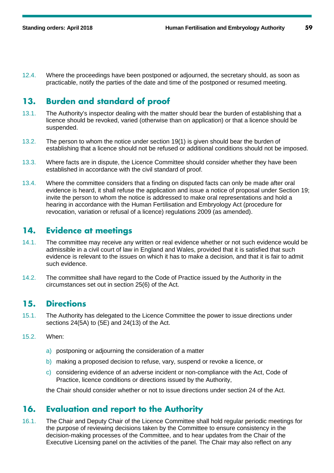12.4. Where the proceedings have been postponed or adjourned, the secretary should, as soon as practicable, notify the parties of the date and time of the postponed or resumed meeting.

### **13. Burden and standard of proof**

- 13.1. The Authority's inspector dealing with the matter should bear the burden of establishing that a licence should be revoked, varied (otherwise than on application) or that a licence should be suspended.
- 13.2. The person to whom the notice under section 19(1) is given should bear the burden of establishing that a licence should not be refused or additional conditions should not be imposed.
- 13.3. Where facts are in dispute, the Licence Committee should consider whether they have been established in accordance with the civil standard of proof.
- 13.4. Where the committee considers that a finding on disputed facts can only be made after oral evidence is heard, it shall refuse the application and issue a notice of proposal under Section 19; invite the person to whom the notice is addressed to make oral representations and hold a hearing in accordance with the Human Fertilisation and Embryology Act (procedure for revocation, variation or refusal of a licence) regulations 2009 (as amended).

### **14. Evidence at meetings**

- 14.1. The committee may receive any written or real evidence whether or not such evidence would be admissible in a civil court of law in England and Wales, provided that it is satisfied that such evidence is relevant to the issues on which it has to make a decision, and that it is fair to admit such evidence.
- 14.2. The committee shall have regard to the Code of Practice issued by the Authority in the circumstances set out in section 25(6) of the Act.

### **15. Directions**

- 15.1. The Authority has delegated to the Licence Committee the power to issue directions under sections 24(5A) to (5E) and 24(13) of the Act.
- 15.2. When:
	- a) postponing or adjourning the consideration of a matter
	- b) making a proposed decision to refuse, vary, suspend or revoke a licence, or
	- c) considering evidence of an adverse incident or non-compliance with the Act, Code of Practice, licence conditions or directions issued by the Authority,

the Chair should consider whether or not to issue directions under section 24 of the Act.

### **16. Evaluation and report to the Authority**

16.1. The Chair and Deputy Chair of the Licence Committee shall hold regular periodic meetings for the purpose of reviewing decisions taken by the Committee to ensure consistency in the decision-making processes of the Committee, and to hear updates from the Chair of the Executive Licensing panel on the activities of the panel. The Chair may also reflect on any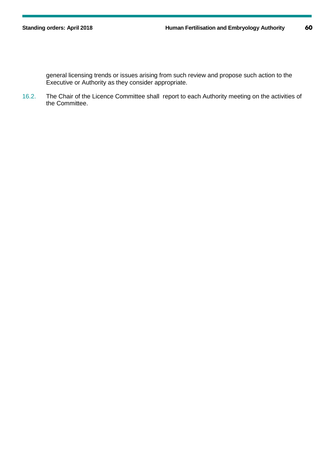general licensing trends or issues arising from such review and propose such action to the Executive or Authority as they consider appropriate.

16.2. The Chair of the Licence Committee shall report to each Authority meeting on the activities of the Committee.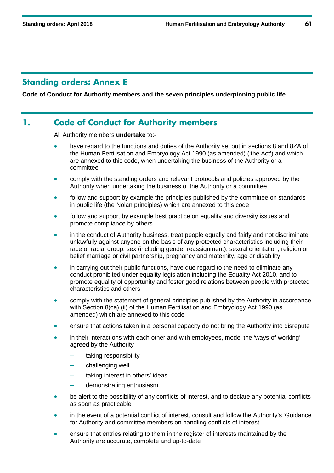### **Standing orders: Annex E**

**Code of Conduct for Authority members and the seven principles underpinning public life**

### **1. Code of Conduct for Authority members**

All Authority members **undertake** to:-

- have regard to the functions and duties of the Authority set out in sections 8 and 8ZA of the Human Fertilisation and Embryology Act 1990 (as amended) ('the Act') and which are annexed to this code, when undertaking the business of the Authority or a committee
- comply with the standing orders and relevant protocols and policies approved by the Authority when undertaking the business of the Authority or a committee
- follow and support by example the principles published by the committee on standards in public life (the Nolan principles) which are annexed to this code
- follow and support by example best practice on equality and diversity issues and promote compliance by others
- in the conduct of Authority business, treat people equally and fairly and not discriminate unlawfully against anyone on the basis of any protected characteristics including their race or racial group, sex (including gender reassignment), sexual orientation, religion or belief marriage or civil partnership, pregnancy and maternity, age or disability
- in carrying out their public functions, have due regard to the need to eliminate any conduct prohibited under equality legislation including the Equality Act 2010, and to promote equality of opportunity and foster good relations between people with protected characteristics and others
- comply with the statement of general principles published by the Authority in accordance with Section 8(ca) (ii) of the Human Fertilisation and Embryology Act 1990 (as amended) which are annexed to this code
- ensure that actions taken in a personal capacity do not bring the Authority into disrepute
- in their interactions with each other and with employees, model the 'ways of working' agreed by the Authority
	- taking responsibility
	- challenging well
	- taking interest in others' ideas
	- demonstrating enthusiasm.
- be alert to the possibility of any conflicts of interest, and to declare any potential conflicts as soon as practicable
- in the event of a potential conflict of interest, consult and follow the Authority's 'Guidance for Authority and committee members on handling conflicts of interest'
- ensure that entries relating to them in the register of interests maintained by the Authority are accurate, complete and up-to-date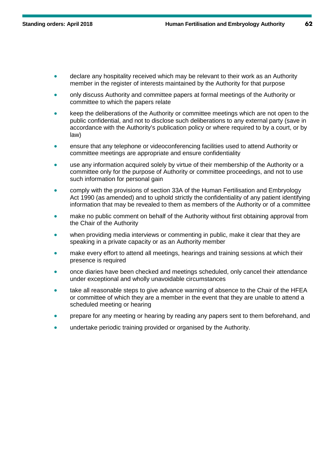- declare any hospitality received which may be relevant to their work as an Authority member in the register of interests maintained by the Authority for that purpose
- only discuss Authority and committee papers at formal meetings of the Authority or committee to which the papers relate
- keep the deliberations of the Authority or committee meetings which are not open to the public confidential, and not to disclose such deliberations to any external party (save in accordance with the Authority's publication policy or where required to by a court, or by law)
- ensure that any telephone or videoconferencing facilities used to attend Authority or committee meetings are appropriate and ensure confidentiality
- use any information acquired solely by virtue of their membership of the Authority or a committee only for the purpose of Authority or committee proceedings, and not to use such information for personal gain
- comply with the provisions of section 33A of the Human Fertilisation and Embryology Act 1990 (as amended) and to uphold strictly the confidentiality of any patient identifying information that may be revealed to them as members of the Authority or of a committee
- make no public comment on behalf of the Authority without first obtaining approval from the Chair of the Authority
- when providing media interviews or commenting in public, make it clear that they are speaking in a private capacity or as an Authority member
- make every effort to attend all meetings, hearings and training sessions at which their presence is required
- once diaries have been checked and meetings scheduled, only cancel their attendance under exceptional and wholly unavoidable circumstances
- take all reasonable steps to give advance warning of absence to the Chair of the HFEA or committee of which they are a member in the event that they are unable to attend a scheduled meeting or hearing
- prepare for any meeting or hearing by reading any papers sent to them beforehand, and
- undertake periodic training provided or organised by the Authority.